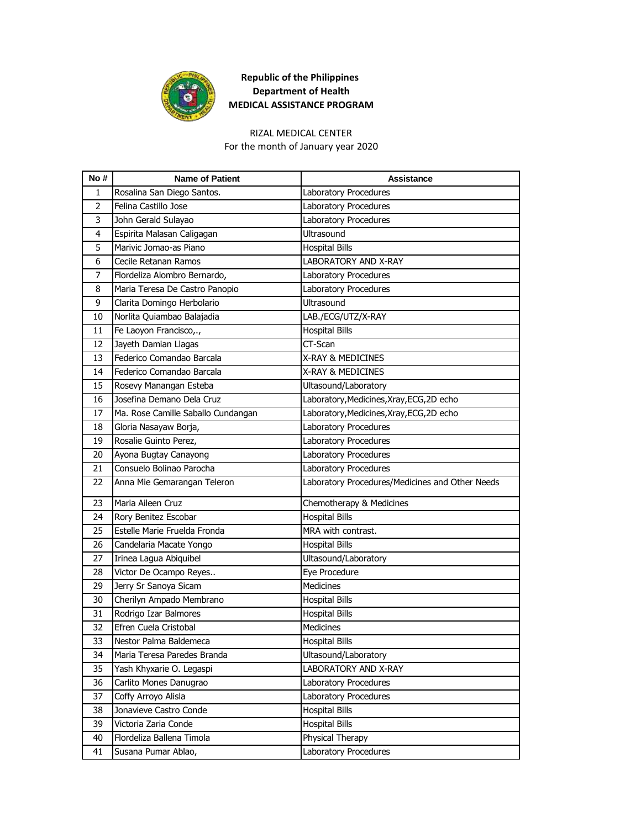

#### RIZAL MEDICAL CENTER

For the month of January year 2020

| No#            | <b>Name of Patient</b>             | <b>Assistance</b>                               |
|----------------|------------------------------------|-------------------------------------------------|
| 1              | Rosalina San Diego Santos.         | Laboratory Procedures                           |
| $\overline{2}$ | Felina Castillo Jose               | Laboratory Procedures                           |
| 3              | John Gerald Sulayao                | Laboratory Procedures                           |
| 4              | Espirita Malasan Caligagan         | <b>Ultrasound</b>                               |
| 5              | Marivic Jomao-as Piano             | <b>Hospital Bills</b>                           |
| 6              | Cecile Retanan Ramos               | LABORATORY AND X-RAY                            |
| 7              | Flordeliza Alombro Bernardo,       | Laboratory Procedures                           |
| 8              | Maria Teresa De Castro Panopio     | Laboratory Procedures                           |
| 9              | Clarita Domingo Herbolario         | Ultrasound                                      |
| 10             | Norlita Quiambao Balajadia         | LAB./ECG/UTZ/X-RAY                              |
| 11             | Fe Laoyon Francisco,.,             | <b>Hospital Bills</b>                           |
| 12             | Jayeth Damian Llagas               | CT-Scan                                         |
| 13             | Federico Comandao Barcala          | X-RAY & MEDICINES                               |
| 14             | Federico Comandao Barcala          | X-RAY & MEDICINES                               |
| 15             | Rosevy Manangan Esteba             | Ultasound/Laboratory                            |
| 16             | Josefina Demano Dela Cruz          | Laboratory, Medicines, Xray, ECG, 2D echo       |
| 17             | Ma. Rose Camille Saballo Cundangan | Laboratory, Medicines, Xray, ECG, 2D echo       |
| 18             | Gloria Nasayaw Borja,              | Laboratory Procedures                           |
| 19             | Rosalie Guinto Perez,              | Laboratory Procedures                           |
| 20             | Ayona Bugtay Canayong              | Laboratory Procedures                           |
| 21             | Consuelo Bolinao Parocha           | Laboratory Procedures                           |
| 22             | Anna Mie Gemarangan Teleron        | Laboratory Procedures/Medicines and Other Needs |
| 23             | Maria Aileen Cruz                  | Chemotherapy & Medicines                        |
| 24             | Rory Benitez Escobar               | <b>Hospital Bills</b>                           |
| 25             | Estelle Marie Fruelda Fronda       | MRA with contrast.                              |
| 26             | Candelaria Macate Yongo            | <b>Hospital Bills</b>                           |
| 27             | Irinea Lagua Abiquibel             | Ultasound/Laboratory                            |
| 28             | Victor De Ocampo Reyes             | Eye Procedure                                   |
| 29             | Jerry Sr Sanoya Sicam              | <b>Medicines</b>                                |
| 30             | Cherilyn Ampado Membrano           | <b>Hospital Bills</b>                           |
| 31             | Rodrigo Izar Balmores              | <b>Hospital Bills</b>                           |
| 32             | Efren Cuela Cristobal              | <b>Medicines</b>                                |
| 33             | Nestor Palma Baldemeca             | <b>Hospital Bills</b>                           |
| 34             | Maria Teresa Paredes Branda        | Ultasound/Laboratory                            |
| 35             | Yash Khyxarie O. Legaspi           | LABORATORY AND X-RAY                            |
| 36             | Carlito Mones Danugrao             | Laboratory Procedures                           |
| 37             | Coffy Arroyo Alisla                | Laboratory Procedures                           |
| 38             | Jonavieve Castro Conde             | <b>Hospital Bills</b>                           |
| 39             | Victoria Zaria Conde               | <b>Hospital Bills</b>                           |
| 40             | Flordeliza Ballena Timola          | Physical Therapy                                |
| 41             | Susana Pumar Ablao,                | Laboratory Procedures                           |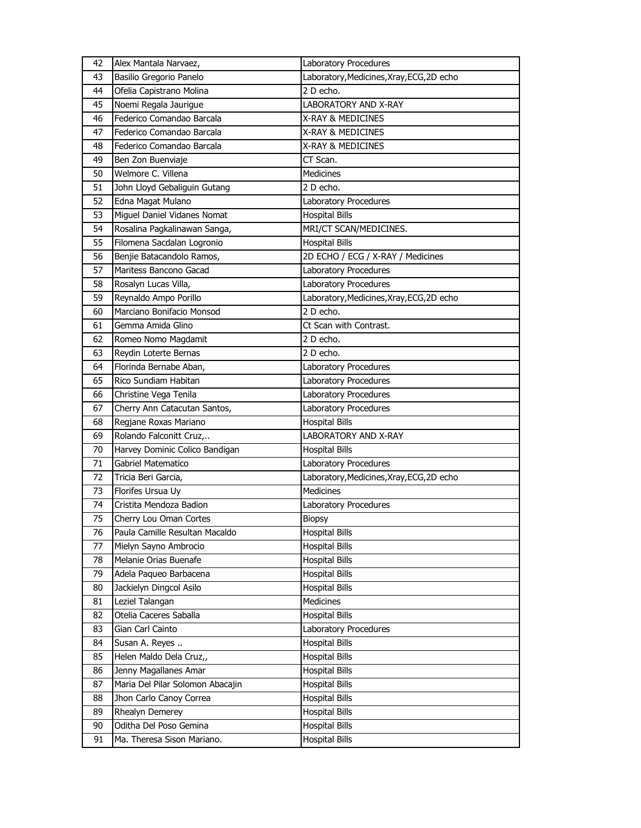| 42 | Alex Mantala Narvaez,            | Laboratory Procedures                     |
|----|----------------------------------|-------------------------------------------|
| 43 | Basilio Gregorio Panelo          | Laboratory, Medicines, Xray, ECG, 2D echo |
| 44 | Ofelia Capistrano Molina         | 2 D echo.                                 |
| 45 | Noemi Regala Jaurigue            | <b>LABORATORY AND X-RAY</b>               |
| 46 | Federico Comandao Barcala        | X-RAY & MEDICINES                         |
| 47 | Federico Comandao Barcala        | X-RAY & MEDICINES                         |
| 48 | Federico Comandao Barcala        | X-RAY & MEDICINES                         |
| 49 | Ben Zon Buenviaje                | CT Scan.                                  |
| 50 | Welmore C. Villena               | <b>Medicines</b>                          |
| 51 | John Lloyd Gebaliguin Gutang     | 2 D echo.                                 |
| 52 | Edna Magat Mulano                | Laboratory Procedures                     |
| 53 | Miguel Daniel Vidanes Nomat      | <b>Hospital Bills</b>                     |
| 54 | Rosalina Pagkalinawan Sanga,     | MRI/CT SCAN/MEDICINES.                    |
| 55 | Filomena Sacdalan Logronio       | <b>Hospital Bills</b>                     |
| 56 | Benjie Batacandolo Ramos,        | 2D ECHO / ECG / X-RAY / Medicines         |
| 57 | Maritess Bancono Gacad           | Laboratory Procedures                     |
| 58 | Rosalyn Lucas Villa,             | Laboratory Procedures                     |
| 59 | Reynaldo Ampo Porillo            | Laboratory, Medicines, Xray, ECG, 2D echo |
| 60 | Marciano Bonifacio Monsod        | 2 D echo.                                 |
| 61 | Gemma Amida Glino                | Ct Scan with Contrast.                    |
| 62 | Romeo Nomo Magdamit              | 2 D echo.                                 |
| 63 | Reydin Loterte Bernas            | 2 D echo.                                 |
| 64 | Florinda Bernabe Aban,           | Laboratory Procedures                     |
| 65 | Rico Sundiam Habitan             | Laboratory Procedures                     |
| 66 | Christine Vega Tenila            | Laboratory Procedures                     |
|    |                                  |                                           |
| 67 | Cherry Ann Catacutan Santos,     | Laboratory Procedures                     |
| 68 | Regjane Roxas Mariano            | <b>Hospital Bills</b>                     |
| 69 | Rolando Falconitt Cruz,          | <b>LABORATORY AND X-RAY</b>               |
| 70 | Harvey Dominic Colico Bandigan   | <b>Hospital Bills</b>                     |
| 71 | Gabriel Matematico               | Laboratory Procedures                     |
| 72 | Tricia Beri Garcia,              | Laboratory, Medicines, Xray, ECG, 2D echo |
| 73 | Florifes Ursua Uy                | <b>Medicines</b>                          |
| 74 | Cristita Mendoza Badion          | Laboratory Procedures                     |
| 75 | Cherry Lou Oman Cortes           | <b>Biopsy</b>                             |
| 76 | Paula Camille Resultan Macaldo   | <b>Hospital Bills</b>                     |
| 77 | Mielyn Sayno Ambrocio            | <b>Hospital Bills</b>                     |
| 78 | Melanie Orias Buenafe            | Hospital Bills                            |
| 79 | Adela Paqueo Barbacena           | <b>Hospital Bills</b>                     |
| 80 | Jackielyn Dingcol Asilo          | <b>Hospital Bills</b>                     |
| 81 | Leziel Talangan                  | Medicines                                 |
| 82 | Otelia Caceres Saballa           | <b>Hospital Bills</b>                     |
| 83 | Gian Carl Cainto                 | Laboratory Procedures                     |
| 84 | Susan A. Reyes                   | <b>Hospital Bills</b>                     |
| 85 | Helen Maldo Dela Cruz,,          | <b>Hospital Bills</b>                     |
| 86 | Jenny Magallanes Amar            | <b>Hospital Bills</b>                     |
| 87 | Maria Del Pilar Solomon Abacajin | <b>Hospital Bills</b>                     |
| 88 | Jhon Carlo Canoy Correa          | Hospital Bills                            |
| 89 | Rhealyn Demerey                  | <b>Hospital Bills</b>                     |
| 90 | Oditha Del Poso Gemina           | <b>Hospital Bills</b>                     |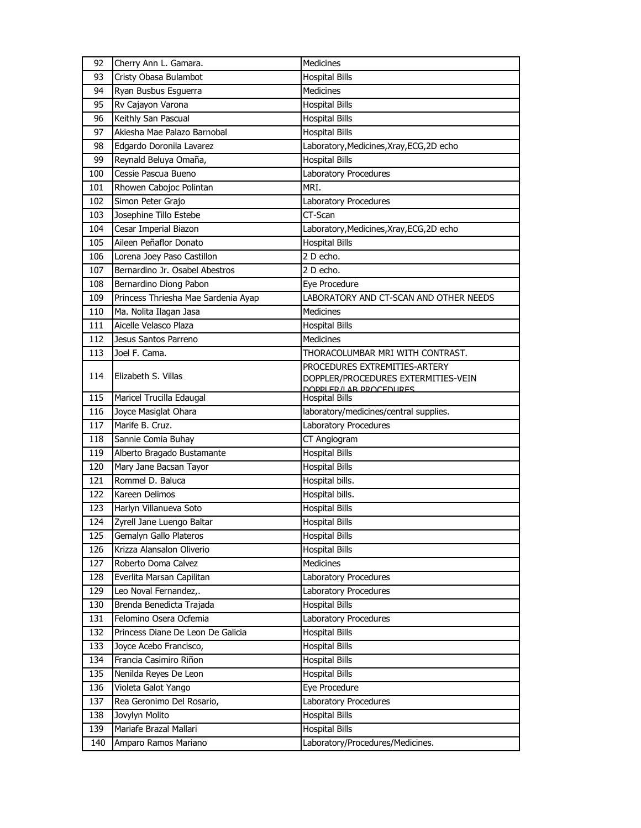| 92  | Cherry Ann L. Gamara.               | Medicines                                       |
|-----|-------------------------------------|-------------------------------------------------|
| 93  | Cristy Obasa Bulambot               | <b>Hospital Bills</b>                           |
| 94  | Ryan Busbus Esguerra                | <b>Medicines</b>                                |
| 95  | Rv Cajayon Varona                   | <b>Hospital Bills</b>                           |
| 96  | Keithly San Pascual                 | <b>Hospital Bills</b>                           |
| 97  | Akiesha Mae Palazo Barnobal         | <b>Hospital Bills</b>                           |
| 98  | Edgardo Doronila Lavarez            | Laboratory, Medicines, Xray, ECG, 2D echo       |
| 99  | Reynald Beluya Omaña,               | <b>Hospital Bills</b>                           |
| 100 | Cessie Pascua Bueno                 | Laboratory Procedures                           |
| 101 | Rhowen Cabojoc Polintan             | MRI.                                            |
| 102 | Simon Peter Grajo                   | Laboratory Procedures                           |
| 103 | Josephine Tillo Estebe              | CT-Scan                                         |
| 104 | Cesar Imperial Biazon               | Laboratory, Medicines, Xray, ECG, 2D echo       |
| 105 | Aileen Peñaflor Donato              | <b>Hospital Bills</b>                           |
| 106 | Lorena Joey Paso Castillon          | 2 D echo.                                       |
| 107 | Bernardino Jr. Osabel Abestros      | 2 D echo.                                       |
| 108 | Bernardino Diong Pabon              | Eye Procedure                                   |
| 109 | Princess Thriesha Mae Sardenia Ayap | LABORATORY AND CT-SCAN AND OTHER NEEDS          |
| 110 | Ma. Nolita Ilagan Jasa              | <b>Medicines</b>                                |
| 111 | Aicelle Velasco Plaza               | <b>Hospital Bills</b>                           |
| 112 | Jesus Santos Parreno                | <b>Medicines</b>                                |
| 113 | Joel F. Cama.                       | THORACOLUMBAR MRI WITH CONTRAST.                |
|     |                                     | PROCEDURES EXTREMITIES-ARTERY                   |
| 114 | Elizabeth S. Villas                 | DOPPLER/PROCEDURES EXTERMITIES-VEIN             |
| 115 | Maricel Trucilla Edaugal            | DOPPLER/LAR PROCEDURES<br><b>Hospital Bills</b> |
| 116 | Joyce Masiglat Ohara                | laboratory/medicines/central supplies.          |
| 117 | Marife B. Cruz.                     | Laboratory Procedures                           |
| 118 | Sannie Comia Buhay                  | CT Angiogram                                    |
| 119 | Alberto Bragado Bustamante          | <b>Hospital Bills</b>                           |
| 120 | Mary Jane Bacsan Tayor              | <b>Hospital Bills</b>                           |
| 121 | Rommel D. Baluca                    | Hospital bills.                                 |
| 122 | Kareen Delimos                      | Hospital bills.                                 |
| 123 | Harlyn Villanueva Soto              | <b>Hospital Bills</b>                           |
| 124 | Zyrell Jane Luengo Baltar           | <b>Hospital Bills</b>                           |
| 125 | Gemalyn Gallo Plateros              | <b>Hospital Bills</b>                           |
| 126 | Krizza Alansalon Oliverio           | <b>Hospital Bills</b>                           |
| 127 | Roberto Doma Calvez                 | Medicines                                       |
| 128 | Everlita Marsan Capilitan           | Laboratory Procedures                           |
| 129 | Leo Noval Fernandez,.               | Laboratory Procedures                           |
| 130 | Brenda Benedicta Trajada            | <b>Hospital Bills</b>                           |
| 131 | Felomino Osera Ocfemia              | Laboratory Procedures                           |
| 132 | Princess Diane De Leon De Galicia   | <b>Hospital Bills</b>                           |
| 133 | Joyce Acebo Francisco,              | <b>Hospital Bills</b>                           |
| 134 | Francia Casimiro Riñon              | <b>Hospital Bills</b>                           |
| 135 | Nenilda Reyes De Leon               | <b>Hospital Bills</b>                           |
| 136 | Violeta Galot Yango                 | Eye Procedure                                   |
| 137 | Rea Geronimo Del Rosario,           | Laboratory Procedures                           |
| 138 | Jovylyn Molito                      | <b>Hospital Bills</b>                           |
| 139 | Mariafe Brazal Mallari              | <b>Hospital Bills</b>                           |
| 140 | Amparo Ramos Mariano                | Laboratory/Procedures/Medicines.                |
|     |                                     |                                                 |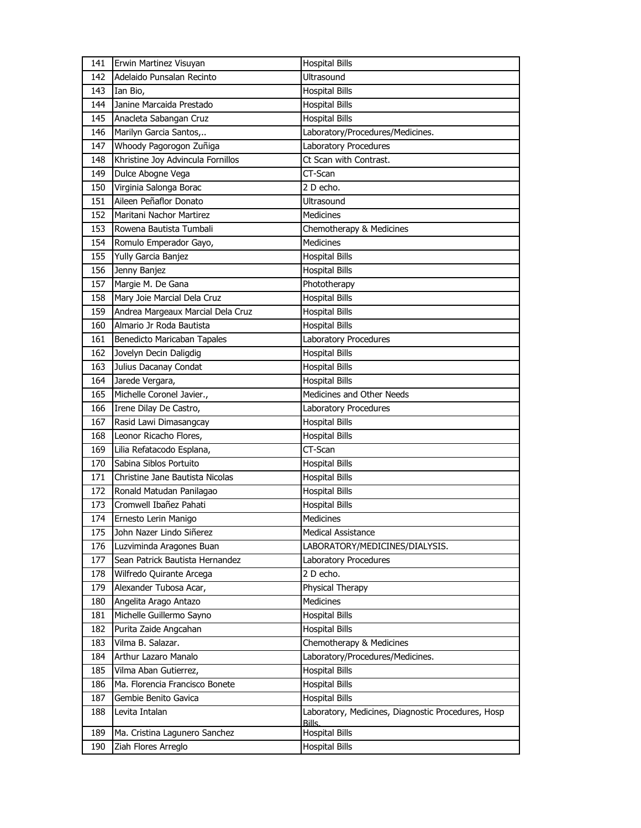| 141 | Erwin Martinez Visuyan            | <b>Hospital Bills</b>                                        |
|-----|-----------------------------------|--------------------------------------------------------------|
| 142 | Adelaido Punsalan Recinto         | Ultrasound                                                   |
| 143 | Ian Bio,                          | <b>Hospital Bills</b>                                        |
| 144 | Janine Marcaida Prestado          | <b>Hospital Bills</b>                                        |
| 145 | Anacleta Sabangan Cruz            | <b>Hospital Bills</b>                                        |
| 146 | Marilyn Garcia Santos,            | Laboratory/Procedures/Medicines.                             |
| 147 | Whoody Pagorogon Zuñiga           | Laboratory Procedures                                        |
| 148 | Khristine Joy Advincula Fornillos | Ct Scan with Contrast.                                       |
| 149 | Dulce Abogne Vega                 | CT-Scan                                                      |
| 150 | Virginia Salonga Borac            | 2 D echo.                                                    |
| 151 | Aileen Peñaflor Donato            | <b>Ultrasound</b>                                            |
| 152 | Maritani Nachor Martirez          | <b>Medicines</b>                                             |
| 153 | Rowena Bautista Tumbali           | Chemotherapy & Medicines                                     |
| 154 | Romulo Emperador Gayo,            | <b>Medicines</b>                                             |
| 155 | Yully Garcia Banjez               | <b>Hospital Bills</b>                                        |
| 156 | Jenny Banjez                      | <b>Hospital Bills</b>                                        |
| 157 | Margie M. De Gana                 | Phototherapy                                                 |
| 158 | Mary Joie Marcial Dela Cruz       | <b>Hospital Bills</b>                                        |
| 159 | Andrea Margeaux Marcial Dela Cruz | <b>Hospital Bills</b>                                        |
| 160 | Almario Jr Roda Bautista          | <b>Hospital Bills</b>                                        |
| 161 | Benedicto Maricaban Tapales       | Laboratory Procedures                                        |
| 162 | Jovelyn Decin Daligdig            | <b>Hospital Bills</b>                                        |
| 163 | Julius Dacanay Condat             | <b>Hospital Bills</b>                                        |
| 164 | Jarede Vergara,                   | <b>Hospital Bills</b>                                        |
| 165 | Michelle Coronel Javier.,         | Medicines and Other Needs                                    |
| 166 | Irene Dilay De Castro,            | Laboratory Procedures                                        |
| 167 | Rasid Lawi Dimasangcay            | <b>Hospital Bills</b>                                        |
| 168 | Leonor Ricacho Flores,            | <b>Hospital Bills</b>                                        |
| 169 | Lilia Refatacodo Esplana,         | CT-Scan                                                      |
| 170 | Sabina Siblos Portuito            | <b>Hospital Bills</b>                                        |
| 171 | Christine Jane Bautista Nicolas   | <b>Hospital Bills</b>                                        |
| 172 | Ronald Matudan Panilagao          | <b>Hospital Bills</b>                                        |
| 173 | Cromwell Ibañez Pahati            | <b>Hospital Bills</b>                                        |
| 174 | Ernesto Lerin Manigo              | Medicines                                                    |
| 175 | John Nazer Lindo Siñerez          | <b>Medical Assistance</b>                                    |
| 176 | Luzviminda Aragones Buan          | LABORATORY/MEDICINES/DIALYSIS.                               |
| 177 | Sean Patrick Bautista Hernandez   | Laboratory Procedures                                        |
| 178 | Wilfredo Quirante Arcega          | 2 D echo.                                                    |
| 179 | Alexander Tubosa Acar,            | Physical Therapy                                             |
| 180 | Angelita Arago Antazo             | Medicines                                                    |
| 181 | Michelle Guillermo Sayno          | <b>Hospital Bills</b>                                        |
| 182 | Purita Zaide Angcahan             | <b>Hospital Bills</b>                                        |
| 183 | Vilma B. Salazar.                 | Chemotherapy & Medicines                                     |
| 184 | Arthur Lazaro Manalo              | Laboratory/Procedures/Medicines.                             |
| 185 | Vilma Aban Gutierrez,             | <b>Hospital Bills</b>                                        |
| 186 | Ma. Florencia Francisco Bonete    | <b>Hospital Bills</b>                                        |
| 187 | Gembie Benito Gavica              | <b>Hospital Bills</b>                                        |
| 188 | Levita Intalan                    | Laboratory, Medicines, Diagnostic Procedures, Hosp<br>Bills. |
| 189 | Ma. Cristina Lagunero Sanchez     | <b>Hospital Bills</b>                                        |
| 190 | Ziah Flores Arreglo               | <b>Hospital Bills</b>                                        |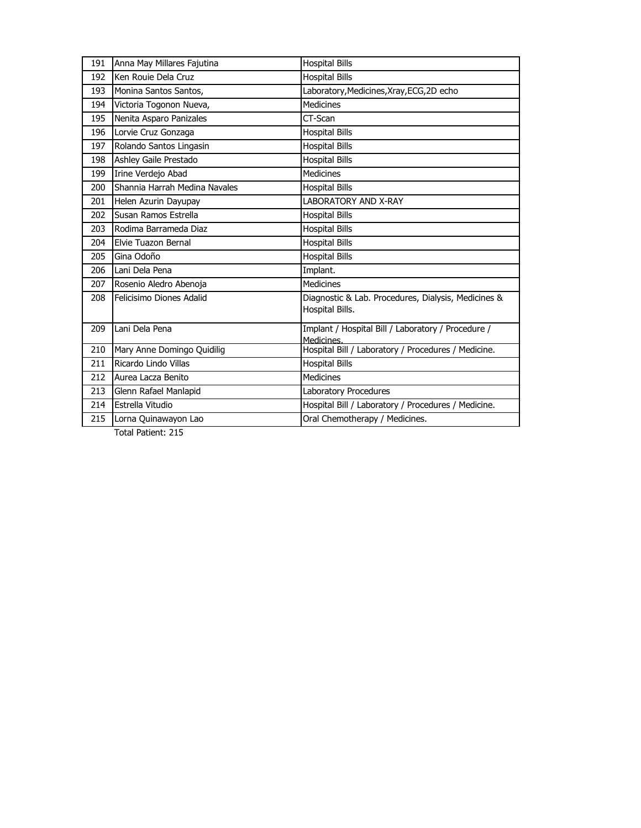| 191 | Anna May Millares Fajutina    | <b>Hospital Bills</b>                                                  |
|-----|-------------------------------|------------------------------------------------------------------------|
| 192 | Ken Rouie Dela Cruz           | <b>Hospital Bills</b>                                                  |
| 193 | Monina Santos Santos,         | Laboratory, Medicines, Xray, ECG, 2D echo                              |
| 194 | Victoria Togonon Nueva,       | <b>Medicines</b>                                                       |
| 195 | Nenita Asparo Panizales       | CT-Scan                                                                |
| 196 | Lorvie Cruz Gonzaga           | <b>Hospital Bills</b>                                                  |
| 197 | Rolando Santos Lingasin       | <b>Hospital Bills</b>                                                  |
| 198 | Ashley Gaile Prestado         | <b>Hospital Bills</b>                                                  |
| 199 | Irine Verdejo Abad            | <b>Medicines</b>                                                       |
| 200 | Shannia Harrah Medina Navales | <b>Hospital Bills</b>                                                  |
| 201 | Helen Azurin Dayupay          | LABORATORY AND X-RAY                                                   |
| 202 | Susan Ramos Estrella          | <b>Hospital Bills</b>                                                  |
| 203 | Rodima Barrameda Diaz         | <b>Hospital Bills</b>                                                  |
| 204 | Elvie Tuazon Bernal           | <b>Hospital Bills</b>                                                  |
| 205 | Gina Odoño                    | <b>Hospital Bills</b>                                                  |
| 206 | Lani Dela Pena                | Implant.                                                               |
| 207 | Rosenio Aledro Abenoja        | <b>Medicines</b>                                                       |
| 208 | Felicisimo Diones Adalid      | Diagnostic & Lab. Procedures, Dialysis, Medicines &<br>Hospital Bills. |
| 209 | Lani Dela Pena                | Implant / Hospital Bill / Laboratory / Procedure /<br>Medicines.       |
| 210 | Mary Anne Domingo Quidilig    | Hospital Bill / Laboratory / Procedures / Medicine.                    |
| 211 | Ricardo Lindo Villas          | <b>Hospital Bills</b>                                                  |
| 212 | Aurea Lacza Benito            | <b>Medicines</b>                                                       |
| 213 | Glenn Rafael Manlapid         | Laboratory Procedures                                                  |
| 214 | Estrella Vitudio              | Hospital Bill / Laboratory / Procedures / Medicine.                    |
| 215 | Lorna Quinawayon Lao          | Oral Chemotherapy / Medicines.                                         |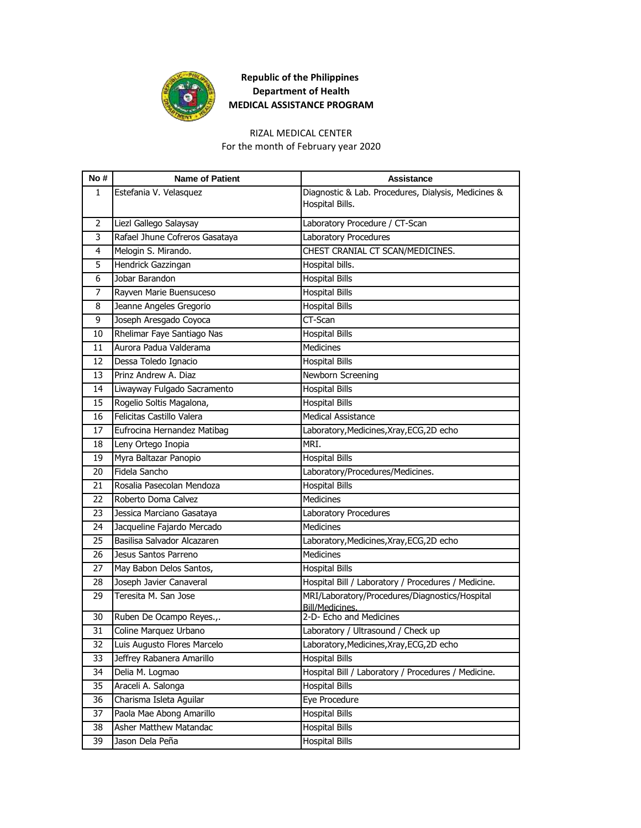

#### RIZAL MEDICAL CENTER

For the month of February year 2020

| No # | <b>Name of Patient</b>         | <b>Assistance</b>                                   |
|------|--------------------------------|-----------------------------------------------------|
| 1    | Estefania V. Velasquez         | Diagnostic & Lab. Procedures, Dialysis, Medicines & |
|      |                                | Hospital Bills.                                     |
| 2    | Liezl Gallego Salaysay         | Laboratory Procedure / CT-Scan                      |
| 3    | Rafael Jhune Cofreros Gasataya | Laboratory Procedures                               |
| 4    | Melogin S. Mirando.            | CHEST CRANIAL CT SCAN/MEDICINES.                    |
| 5    | Hendrick Gazzingan             | Hospital bills.                                     |
| 6    | Jobar Barandon                 | <b>Hospital Bills</b>                               |
| 7    | Rayven Marie Buensuceso        | <b>Hospital Bills</b>                               |
| 8    | Jeanne Angeles Gregorio        | <b>Hospital Bills</b>                               |
| 9    | Joseph Aresgado Coyoca         | CT-Scan                                             |
| 10   | Rhelimar Faye Santiago Nas     | <b>Hospital Bills</b>                               |
| 11   | Aurora Padua Valderama         | <b>Medicines</b>                                    |
| 12   | Dessa Toledo Ignacio           | <b>Hospital Bills</b>                               |
| 13   | Prinz Andrew A. Diaz           | Newborn Screening                                   |
| 14   | Liwayway Fulgado Sacramento    | <b>Hospital Bills</b>                               |
| 15   | Rogelio Soltis Magalona,       | <b>Hospital Bills</b>                               |
| 16   | Felicitas Castillo Valera      | <b>Medical Assistance</b>                           |
| 17   | Eufrocina Hernandez Matibag    | Laboratory, Medicines, Xray, ECG, 2D echo           |
| 18   | Leny Ortego Inopia             | MRI.                                                |
| 19   | Myra Baltazar Panopio          | <b>Hospital Bills</b>                               |
| 20   | Fidela Sancho                  | Laboratory/Procedures/Medicines.                    |
| 21   | Rosalia Pasecolan Mendoza      | <b>Hospital Bills</b>                               |
| 22   | Roberto Doma Calvez            | <b>Medicines</b>                                    |
| 23   | Jessica Marciano Gasataya      | Laboratory Procedures                               |
| 24   | Jacqueline Fajardo Mercado     | Medicines                                           |
| 25   | Basilisa Salvador Alcazaren    | Laboratory, Medicines, Xray, ECG, 2D echo           |
| 26   | Jesus Santos Parreno           | Medicines                                           |
| 27   | May Babon Delos Santos,        | <b>Hospital Bills</b>                               |
| 28   | Joseph Javier Canaveral        | Hospital Bill / Laboratory / Procedures / Medicine. |
| 29   | Teresita M. San Jose           | MRI/Laboratory/Procedures/Diagnostics/Hospital      |
| 30   | Ruben De Ocampo Reyes.,.       | Bill/Medicines.<br>2-D- Echo and Medicines          |
| 31   | Coline Marquez Urbano          | Laboratory / Ultrasound / Check up                  |
| 32   | Luis Augusto Flores Marcelo    | Laboratory, Medicines, Xray, ECG, 2D echo           |
| 33   | Jeffrey Rabanera Amarillo      | <b>Hospital Bills</b>                               |
| 34   | Delia M. Logmao                | Hospital Bill / Laboratory / Procedures / Medicine. |
| 35   | Araceli A. Salonga             | <b>Hospital Bills</b>                               |
| 36   | Charisma Isleta Aguilar        | Eye Procedure                                       |
| 37   | Paola Mae Abong Amarillo       | <b>Hospital Bills</b>                               |
| 38   | Asher Matthew Matandac         | <b>Hospital Bills</b>                               |
| 39   | Jason Dela Peña                | <b>Hospital Bills</b>                               |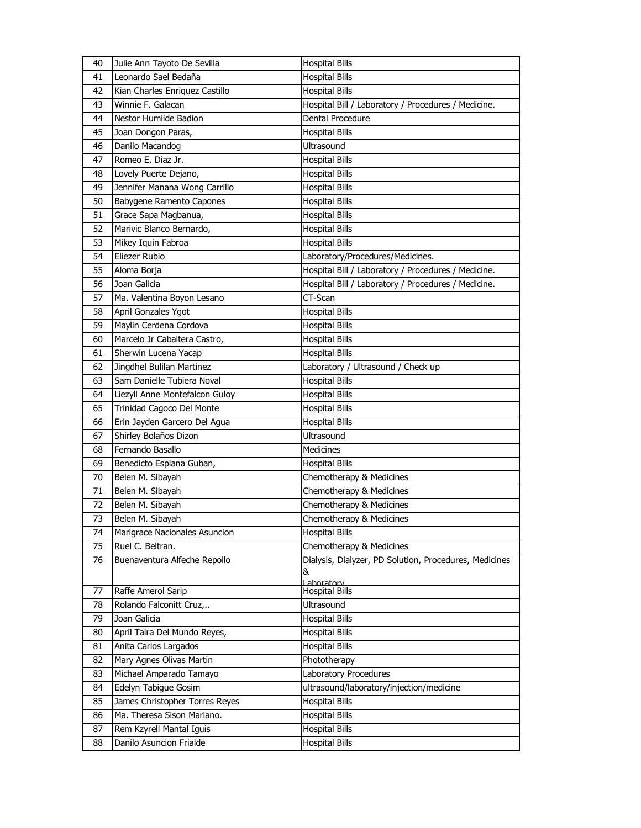| 40 | Julie Ann Tayoto De Sevilla     | <b>Hospital Bills</b>                                  |
|----|---------------------------------|--------------------------------------------------------|
| 41 | Leonardo Sael Bedaña            | <b>Hospital Bills</b>                                  |
| 42 | Kian Charles Enriquez Castillo  | <b>Hospital Bills</b>                                  |
| 43 | Winnie F. Galacan               | Hospital Bill / Laboratory / Procedures / Medicine.    |
| 44 | <b>Nestor Humilde Badion</b>    | Dental Procedure                                       |
| 45 | Joan Dongon Paras,              | <b>Hospital Bills</b>                                  |
| 46 | Danilo Macandog                 | Ultrasound                                             |
| 47 | Romeo E. Diaz Jr.               | <b>Hospital Bills</b>                                  |
| 48 | Lovely Puerte Dejano,           | <b>Hospital Bills</b>                                  |
| 49 | Jennifer Manana Wong Carrillo   | <b>Hospital Bills</b>                                  |
| 50 | <b>Babygene Ramento Capones</b> | <b>Hospital Bills</b>                                  |
| 51 | Grace Sapa Magbanua,            | <b>Hospital Bills</b>                                  |
| 52 | Marivic Blanco Bernardo,        | <b>Hospital Bills</b>                                  |
| 53 | Mikey Iquin Fabroa              | <b>Hospital Bills</b>                                  |
| 54 | Eliezer Rubio                   | Laboratory/Procedures/Medicines.                       |
| 55 | Aloma Borja                     | Hospital Bill / Laboratory / Procedures / Medicine.    |
| 56 | Joan Galicia                    | Hospital Bill / Laboratory / Procedures / Medicine.    |
| 57 | Ma. Valentina Boyon Lesano      | CT-Scan                                                |
| 58 | April Gonzales Ygot             | <b>Hospital Bills</b>                                  |
| 59 | Maylin Cerdena Cordova          | <b>Hospital Bills</b>                                  |
| 60 | Marcelo Jr Cabaltera Castro,    | <b>Hospital Bills</b>                                  |
| 61 | Sherwin Lucena Yacap            | <b>Hospital Bills</b>                                  |
| 62 | Jingdhel Bulilan Martinez       | Laboratory / Ultrasound / Check up                     |
| 63 | Sam Danielle Tubiera Noval      | <b>Hospital Bills</b>                                  |
| 64 | Liezyll Anne Montefalcon Guloy  | <b>Hospital Bills</b>                                  |
| 65 | Trinidad Cagoco Del Monte       | <b>Hospital Bills</b>                                  |
| 66 | Erin Jayden Garcero Del Agua    | <b>Hospital Bills</b>                                  |
| 67 | Shirley Bolaños Dizon           | Ultrasound                                             |
| 68 | Fernando Basallo                | <b>Medicines</b>                                       |
| 69 | Benedicto Esplana Guban,        | <b>Hospital Bills</b>                                  |
| 70 | Belen M. Sibayah                | Chemotherapy & Medicines                               |
| 71 | Belen M. Sibayah                | Chemotherapy & Medicines                               |
| 72 | Belen M. Sibayah                | Chemotherapy & Medicines                               |
| 73 | Belen M. Sibayah                | Chemotherapy & Medicines                               |
| 74 | Marigrace Nacionales Asuncion   | <b>Hospital Bills</b>                                  |
| 75 | Ruel C. Beltran.                | Chemotherapy & Medicines                               |
| 76 | Buenaventura Alfeche Repollo    | Dialysis, Dialyzer, PD Solution, Procedures, Medicines |
|    |                                 | &                                                      |
| 77 | Raffe Amerol Sarip              | Lahoratory<br><b>Hospital Bills</b>                    |
| 78 | Rolando Falconitt Cruz,         | Ultrasound                                             |
| 79 | Joan Galicia                    | <b>Hospital Bills</b>                                  |
| 80 | April Taira Del Mundo Reyes,    | <b>Hospital Bills</b>                                  |
| 81 | Anita Carlos Largados           | <b>Hospital Bills</b>                                  |
| 82 | Mary Agnes Olivas Martin        | Phototherapy                                           |
| 83 | Michael Amparado Tamayo         | Laboratory Procedures                                  |
| 84 | Edelyn Tabigue Gosim            | ultrasound/laboratory/injection/medicine               |
| 85 | James Christopher Torres Reyes  | <b>Hospital Bills</b>                                  |
| 86 | Ma. Theresa Sison Mariano.      | <b>Hospital Bills</b>                                  |
| 87 | Rem Kzyrell Mantal Iguis        | <b>Hospital Bills</b>                                  |
| 88 | Danilo Asuncion Frialde         | <b>Hospital Bills</b>                                  |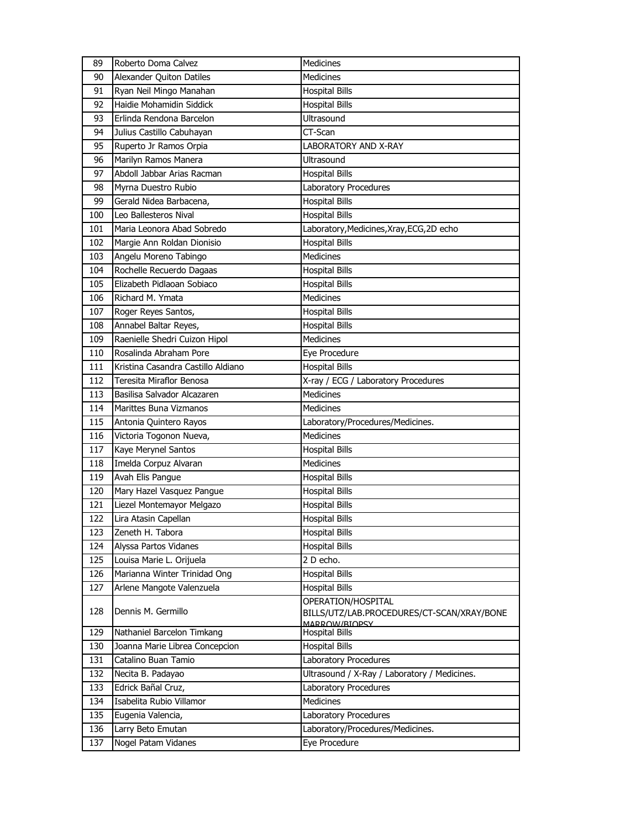| 89  | Roberto Doma Calvez                | Medicines                                    |
|-----|------------------------------------|----------------------------------------------|
| 90  | Alexander Quiton Datiles           | <b>Medicines</b>                             |
| 91  | Ryan Neil Mingo Manahan            | <b>Hospital Bills</b>                        |
| 92  | Haidie Mohamidin Siddick           | <b>Hospital Bills</b>                        |
| 93  | Erlinda Rendona Barcelon           | Ultrasound                                   |
| 94  | Julius Castillo Cabuhayan          | CT-Scan                                      |
| 95  | Ruperto Jr Ramos Orpia             | <b>LABORATORY AND X-RAY</b>                  |
| 96  | Marilyn Ramos Manera               | Ultrasound                                   |
| 97  | Abdoll Jabbar Arias Racman         | <b>Hospital Bills</b>                        |
| 98  | Myrna Duestro Rubio                | Laboratory Procedures                        |
| 99  | Gerald Nidea Barbacena,            | <b>Hospital Bills</b>                        |
| 100 | Leo Ballesteros Nival              | <b>Hospital Bills</b>                        |
| 101 | Maria Leonora Abad Sobredo         | Laboratory, Medicines, Xray, ECG, 2D echo    |
| 102 | Margie Ann Roldan Dionisio         | <b>Hospital Bills</b>                        |
| 103 | Angelu Moreno Tabingo              | Medicines                                    |
| 104 | Rochelle Recuerdo Dagaas           | <b>Hospital Bills</b>                        |
| 105 | Elizabeth Pidlaoan Sobiaco         | <b>Hospital Bills</b>                        |
| 106 | Richard M. Ymata                   | Medicines                                    |
| 107 | Roger Reyes Santos,                | <b>Hospital Bills</b>                        |
| 108 | Annabel Baltar Reyes,              | <b>Hospital Bills</b>                        |
| 109 | Raenielle Shedri Cuizon Hipol      | <b>Medicines</b>                             |
| 110 | Rosalinda Abraham Pore             | Eye Procedure                                |
| 111 | Kristina Casandra Castillo Aldiano | <b>Hospital Bills</b>                        |
| 112 | <b>Teresita Miraflor Benosa</b>    | X-ray / ECG / Laboratory Procedures          |
| 113 | Basilisa Salvador Alcazaren        | Medicines                                    |
| 114 | Marittes Buna Vizmanos             | <b>Medicines</b>                             |
| 115 | Antonia Quintero Rayos             | Laboratory/Procedures/Medicines.             |
| 116 | Victoria Togonon Nueva,            | <b>Medicines</b>                             |
| 117 | Kaye Merynel Santos                | <b>Hospital Bills</b>                        |
| 118 | Imelda Corpuz Alvaran              | Medicines                                    |
| 119 | Avah Elis Pangue                   | <b>Hospital Bills</b>                        |
| 120 | Mary Hazel Vasquez Pangue          | <b>Hospital Bills</b>                        |
| 121 | Liezel Montemayor Melgazo          | <b>Hospital Bills</b>                        |
| 122 | Lira Atasin Capellan               | <b>Hospital Bills</b>                        |
| 123 | Zeneth H. Tabora                   | <b>Hospital Bills</b>                        |
| 124 | Alyssa Partos Vidanes              | <b>Hospital Bills</b>                        |
| 125 | Louisa Marie L. Orijuela           | 2 D echo.                                    |
| 126 | Marianna Winter Trinidad Ong       | <b>Hospital Bills</b>                        |
| 127 | Arlene Mangote Valenzuela          | <b>Hospital Bills</b>                        |
|     |                                    | OPERATION/HOSPITAL                           |
| 128 | Dennis M. Germillo                 | BILLS/UTZ/LAB.PROCEDURES/CT-SCAN/XRAY/BONE   |
| 129 | Nathaniel Barcelon Timkang         | MARROW/RIOPSY<br><b>Hospital Bills</b>       |
| 130 | Joanna Marie Librea Concepcion     | <b>Hospital Bills</b>                        |
| 131 | Catalino Buan Tamio                | Laboratory Procedures                        |
| 132 | Necita B. Padayao                  | Ultrasound / X-Ray / Laboratory / Medicines. |
| 133 | Edrick Bañal Cruz,                 | Laboratory Procedures                        |
| 134 | Isabelita Rubio Villamor           | Medicines                                    |
| 135 | Eugenia Valencia,                  | Laboratory Procedures                        |
| 136 | Larry Beto Emutan                  | Laboratory/Procedures/Medicines.             |
| 137 | Nogel Patam Vidanes                | Eye Procedure                                |
|     |                                    |                                              |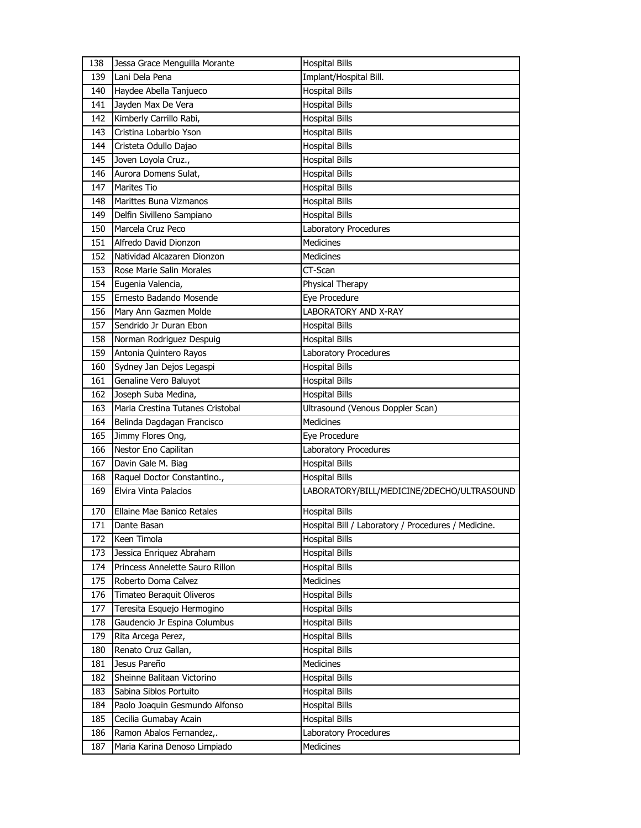| 138 | Jessa Grace Menguilla Morante    | <b>Hospital Bills</b>                               |
|-----|----------------------------------|-----------------------------------------------------|
| 139 | Lani Dela Pena                   | Implant/Hospital Bill.                              |
| 140 | Haydee Abella Tanjueco           | <b>Hospital Bills</b>                               |
| 141 | Jayden Max De Vera               | <b>Hospital Bills</b>                               |
| 142 | Kimberly Carrillo Rabi,          | <b>Hospital Bills</b>                               |
| 143 | Cristina Lobarbio Yson           | <b>Hospital Bills</b>                               |
| 144 | Cristeta Odullo Dajao            | <b>Hospital Bills</b>                               |
| 145 | Joven Loyola Cruz.,              | <b>Hospital Bills</b>                               |
| 146 | Aurora Domens Sulat,             | <b>Hospital Bills</b>                               |
| 147 | <b>Marites Tio</b>               | <b>Hospital Bills</b>                               |
| 148 | Marittes Buna Vizmanos           | <b>Hospital Bills</b>                               |
| 149 | Delfin Sivilleno Sampiano        | <b>Hospital Bills</b>                               |
| 150 | Marcela Cruz Peco                | Laboratory Procedures                               |
| 151 | Alfredo David Dionzon            | <b>Medicines</b>                                    |
| 152 | Natividad Alcazaren Dionzon      | <b>Medicines</b>                                    |
| 153 | Rose Marie Salin Morales         | CT-Scan                                             |
| 154 | Eugenia Valencia,                | Physical Therapy                                    |
| 155 | Ernesto Badando Mosende          | Eye Procedure                                       |
| 156 | Mary Ann Gazmen Molde            | LABORATORY AND X-RAY                                |
| 157 | Sendrido Jr Duran Ebon           | <b>Hospital Bills</b>                               |
| 158 | Norman Rodriguez Despuig         | <b>Hospital Bills</b>                               |
| 159 | Antonia Quintero Rayos           | Laboratory Procedures                               |
| 160 | Sydney Jan Dejos Legaspi         | <b>Hospital Bills</b>                               |
| 161 | Genaline Vero Baluyot            | <b>Hospital Bills</b>                               |
| 162 | Joseph Suba Medina,              | <b>Hospital Bills</b>                               |
| 163 | Maria Crestina Tutanes Cristobal | Ultrasound (Venous Doppler Scan)                    |
| 164 | Belinda Dagdagan Francisco       | <b>Medicines</b>                                    |
| 165 | Jimmy Flores Ong,                | Eye Procedure                                       |
| 166 | Nestor Eno Capilitan             | Laboratory Procedures                               |
| 167 | Davin Gale M. Biag               | <b>Hospital Bills</b>                               |
| 168 | Raquel Doctor Constantino.,      | <b>Hospital Bills</b>                               |
| 169 | Elvira Vinta Palacios            | LABORATORY/BILL/MEDICINE/2DECHO/ULTRASOUND          |
| 170 | Ellaine Mae Banico Retales       | <b>Hospital Bills</b>                               |
| 171 | Dante Basan                      | Hospital Bill / Laboratory / Procedures / Medicine. |
| 172 | Keen Timola                      | <b>Hospital Bills</b>                               |
| 173 | Jessica Enriquez Abraham         | <b>Hospital Bills</b>                               |
| 174 | Princess Annelette Sauro Rillon  | <b>Hospital Bills</b>                               |
| 175 | Roberto Doma Calvez              | Medicines                                           |
| 176 | Timateo Beraquit Oliveros        | <b>Hospital Bills</b>                               |
| 177 | Teresita Esquejo Hermogino       | <b>Hospital Bills</b>                               |
| 178 | Gaudencio Jr Espina Columbus     | <b>Hospital Bills</b>                               |
| 179 | Rita Arcega Perez,               | <b>Hospital Bills</b>                               |
| 180 | Renato Cruz Gallan,              | <b>Hospital Bills</b>                               |
| 181 | Jesus Pareño                     | Medicines                                           |
| 182 | Sheinne Balitaan Victorino       | <b>Hospital Bills</b>                               |
| 183 | Sabina Siblos Portuito           | <b>Hospital Bills</b>                               |
| 184 | Paolo Joaquin Gesmundo Alfonso   | <b>Hospital Bills</b>                               |
| 185 | Cecilia Gumabay Acain            | <b>Hospital Bills</b>                               |
| 186 | Ramon Abalos Fernandez,.         | Laboratory Procedures                               |
| 187 | Maria Karina Denoso Limpiado     | Medicines                                           |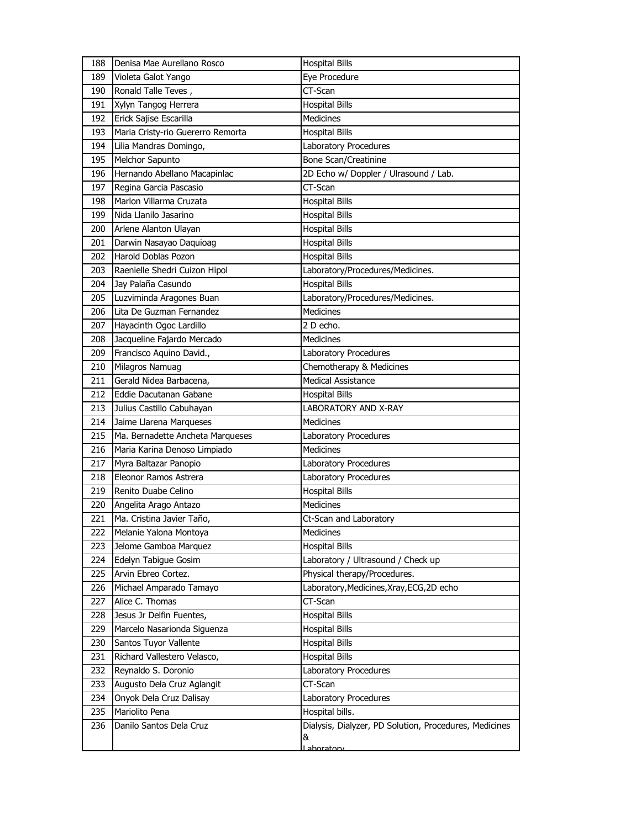| 188 | Denisa Mae Aurellano Rosco        | <b>Hospital Bills</b>                                  |
|-----|-----------------------------------|--------------------------------------------------------|
| 189 | Violeta Galot Yango               | Eye Procedure                                          |
| 190 | Ronald Talle Teves,               | CT-Scan                                                |
| 191 | Xylyn Tangog Herrera              | <b>Hospital Bills</b>                                  |
| 192 | Erick Sajise Escarilla            | <b>Medicines</b>                                       |
| 193 | Maria Cristy-rio Guererro Remorta | <b>Hospital Bills</b>                                  |
| 194 | Lilia Mandras Domingo,            | Laboratory Procedures                                  |
| 195 | Melchor Sapunto                   | <b>Bone Scan/Creatinine</b>                            |
| 196 | Hernando Abellano Macapinlac      | 2D Echo w/ Doppler / Ulrasound / Lab.                  |
| 197 | Regina Garcia Pascasio            | CT-Scan                                                |
| 198 | Marlon Villarma Cruzata           | <b>Hospital Bills</b>                                  |
| 199 | Nida Llanilo Jasarino             | <b>Hospital Bills</b>                                  |
| 200 | Arlene Alanton Ulayan             | <b>Hospital Bills</b>                                  |
| 201 | Darwin Nasayao Daquioag           | <b>Hospital Bills</b>                                  |
| 202 | Harold Doblas Pozon               | <b>Hospital Bills</b>                                  |
| 203 | Raenielle Shedri Cuizon Hipol     | Laboratory/Procedures/Medicines.                       |
| 204 | Jay Palaña Casundo                | <b>Hospital Bills</b>                                  |
| 205 | Luzviminda Aragones Buan          | Laboratory/Procedures/Medicines.                       |
| 206 | Lita De Guzman Fernandez          | Medicines                                              |
| 207 | Hayacinth Ogoc Lardillo           | 2 D echo.                                              |
| 208 | Jacqueline Fajardo Mercado        | <b>Medicines</b>                                       |
| 209 | Francisco Aquino David.,          | Laboratory Procedures                                  |
| 210 | Milagros Namuag                   | Chemotherapy & Medicines                               |
| 211 | Gerald Nidea Barbacena,           | <b>Medical Assistance</b>                              |
| 212 | Eddie Dacutanan Gabane            | <b>Hospital Bills</b>                                  |
| 213 | Julius Castillo Cabuhayan         | <b>LABORATORY AND X-RAY</b>                            |
| 214 | Jaime Llarena Marqueses           | Medicines                                              |
| 215 | Ma. Bernadette Ancheta Marqueses  | Laboratory Procedures                                  |
| 216 | Maria Karina Denoso Limpiado      | <b>Medicines</b>                                       |
| 217 | Myra Baltazar Panopio             | Laboratory Procedures                                  |
| 218 | Eleonor Ramos Astrera             | Laboratory Procedures                                  |
| 219 | Renito Duabe Celino               | <b>Hospital Bills</b>                                  |
| 220 | Angelita Arago Antazo             | Medicines                                              |
| 221 | Ma. Cristina Javier Taño,         | Ct-Scan and Laboratory                                 |
| 222 | Melanie Yalona Montoya            | Medicines                                              |
| 223 | Jelome Gamboa Marquez             | <b>Hospital Bills</b>                                  |
| 224 | Edelyn Tabigue Gosim              | Laboratory / Ultrasound / Check up                     |
| 225 | Arvin Ebreo Cortez.               | Physical therapy/Procedures.                           |
| 226 | Michael Amparado Tamayo           | Laboratory, Medicines, Xray, ECG, 2D echo              |
| 227 | Alice C. Thomas                   | CT-Scan                                                |
| 228 | Jesus Jr Delfin Fuentes,          | <b>Hospital Bills</b>                                  |
| 229 | Marcelo Nasarionda Siguenza       | <b>Hospital Bills</b>                                  |
| 230 | Santos Tuyor Vallente             | <b>Hospital Bills</b>                                  |
| 231 | Richard Vallestero Velasco,       | <b>Hospital Bills</b>                                  |
| 232 | Reynaldo S. Doronio               | Laboratory Procedures                                  |
| 233 | Augusto Dela Cruz Aglangit        | CT-Scan                                                |
| 234 | Onyok Dela Cruz Dalisay           | Laboratory Procedures                                  |
| 235 | Mariolito Pena                    | Hospital bills.                                        |
| 236 | Danilo Santos Dela Cruz           | Dialysis, Dialyzer, PD Solution, Procedures, Medicines |
|     |                                   | &<br>aboratory                                         |
|     |                                   |                                                        |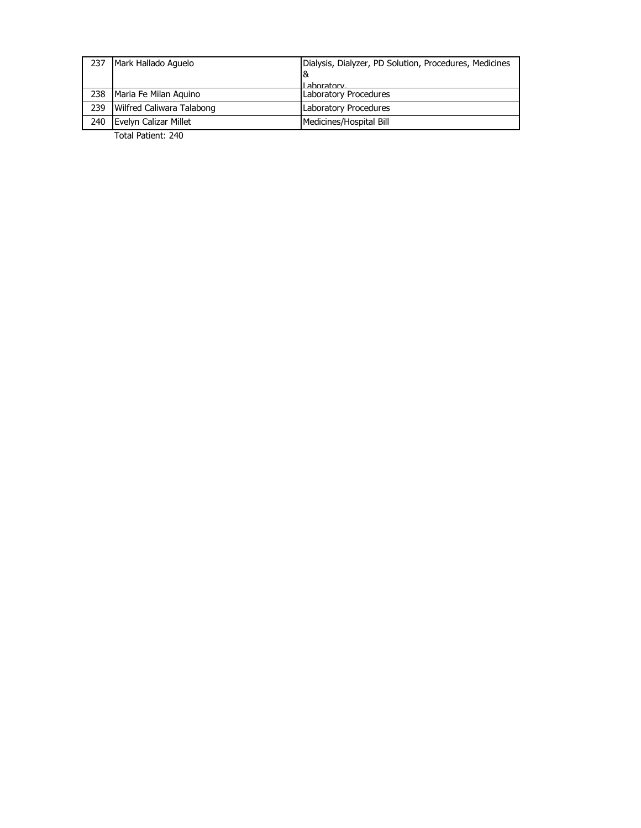| 237 | Mark Hallado Aquelo       | Dialysis, Dialyzer, PD Solution, Procedures, Medicines |
|-----|---------------------------|--------------------------------------------------------|
|     |                           | 8                                                      |
|     |                           | I ahoratory                                            |
| 238 | Maria Fe Milan Aguino     | Laboratory Procedures                                  |
| 239 | Wilfred Caliwara Talabong | Laboratory Procedures                                  |
| 240 | Evelyn Calizar Millet     | Medicines/Hospital Bill                                |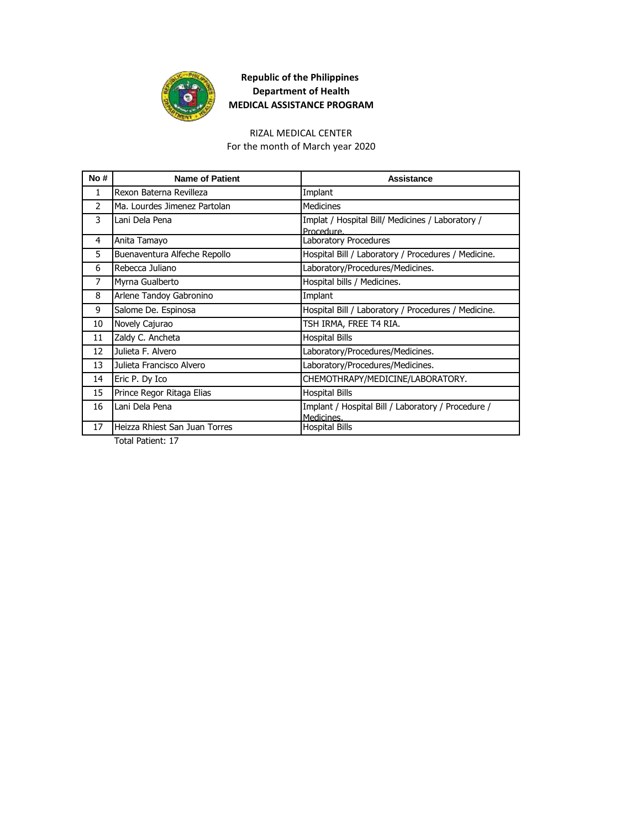

#### RIZAL MEDICAL CENTER

For the month of March year 2020

| No # | <b>Name of Patient</b>        | Assistance                                                       |
|------|-------------------------------|------------------------------------------------------------------|
| 1    | Rexon Baterna Revilleza       | Implant                                                          |
| 2    | Ma. Lourdes Jimenez Partolan  | <b>Medicines</b>                                                 |
| 3    | Lani Dela Pena                | Implat / Hospital Bill/ Medicines / Laboratory /<br>Procedure.   |
| 4    | Anita Tamayo                  | Laboratory Procedures                                            |
| 5    | Buenaventura Alfeche Repollo  | Hospital Bill / Laboratory / Procedures / Medicine.              |
| 6    | Rebecca Juliano               | Laboratory/Procedures/Medicines.                                 |
| 7    | Myrna Gualberto               | Hospital bills / Medicines.                                      |
| 8    | Arlene Tandoy Gabronino       | Implant                                                          |
| 9    | Salome De. Espinosa           | Hospital Bill / Laboratory / Procedures / Medicine.              |
| 10   | Novely Cajurao                | TSH IRMA, FREE T4 RIA.                                           |
| 11   | Zaldy C. Ancheta              | <b>Hospital Bills</b>                                            |
| 12   | Julieta F. Alvero             | Laboratory/Procedures/Medicines.                                 |
| 13   | Julieta Francisco Alvero      | Laboratory/Procedures/Medicines.                                 |
| 14   | Eric P. Dy Ico                | CHEMOTHRAPY/MEDICINE/LABORATORY.                                 |
| 15   | Prince Regor Ritaga Elias     | <b>Hospital Bills</b>                                            |
| 16   | Lani Dela Pena                | Implant / Hospital Bill / Laboratory / Procedure /<br>Medicines. |
| 17   | Heizza Rhiest San Juan Torres | <b>Hospital Bills</b>                                            |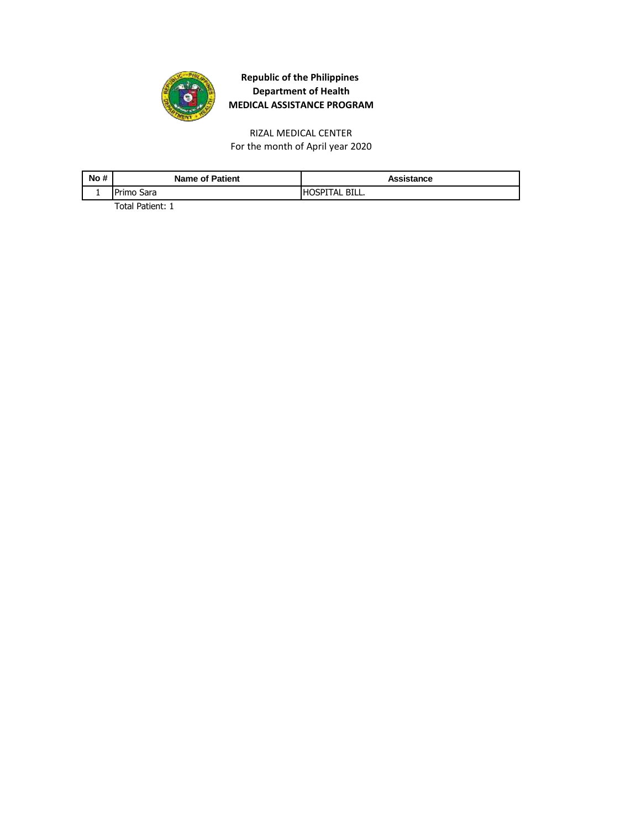

For the month of April year 2020 RIZAL MEDICAL CENTER

| No# | <b>Name of Patient</b> | Assistance      |
|-----|------------------------|-----------------|
|     | lPrimo Sara            | IHOSPITAL BILL. |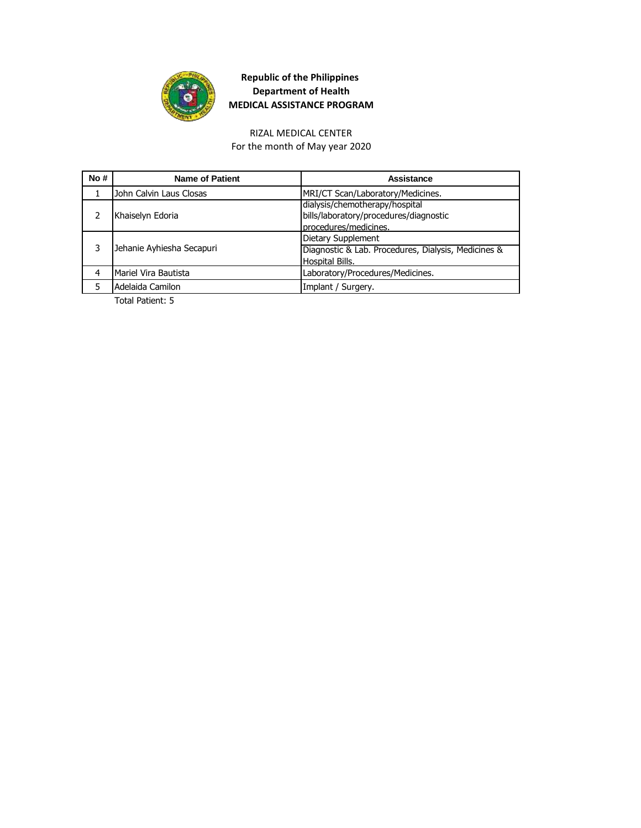

#### For the month of May year 2020 RIZAL MEDICAL CENTER

| No# | <b>Name of Patient</b>    | Assistance                                          |
|-----|---------------------------|-----------------------------------------------------|
|     | John Calvin Laus Closas   | MRI/CT Scan/Laboratory/Medicines.                   |
|     |                           | dialysis/chemotherapy/hospital                      |
|     | Khaiselyn Edoria          | bills/laboratory/procedures/diagnostic              |
|     |                           | procedures/medicines.                               |
|     | Jehanie Ayhiesha Secapuri | Dietary Supplement                                  |
|     |                           | Diagnostic & Lab. Procedures, Dialysis, Medicines & |
|     |                           | Hospital Bills.                                     |
| 4   | Mariel Vira Bautista      | Laboratory/Procedures/Medicines.                    |
|     | Adelaida Camilon          | Implant / Surgery.                                  |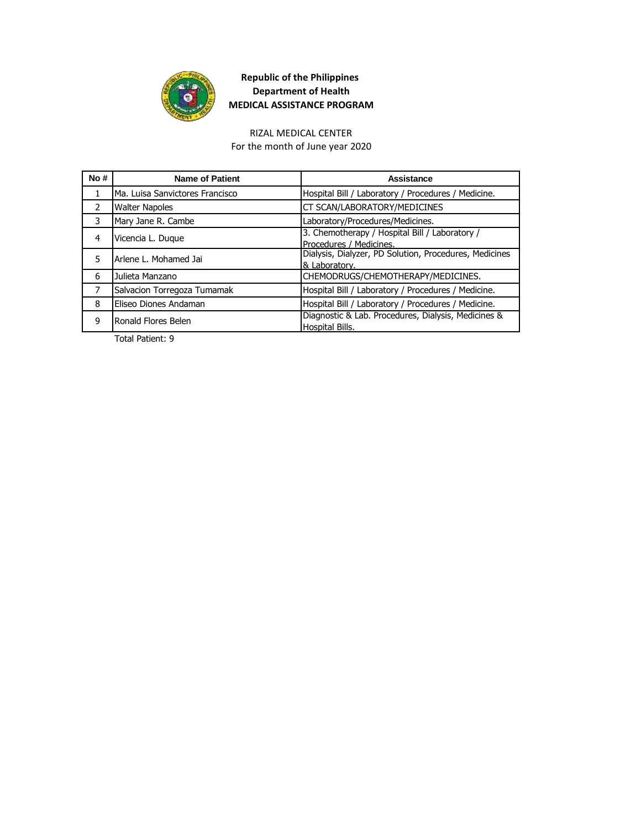

RIZAL MEDICAL CENTER For the month of June year 2020

| No#            | <b>Name of Patient</b>          | Assistance                                                                |
|----------------|---------------------------------|---------------------------------------------------------------------------|
|                | Ma. Luisa Sanvictores Francisco | Hospital Bill / Laboratory / Procedures / Medicine.                       |
| $\mathcal{P}$  | <b>Walter Napoles</b>           | CT SCAN/LABORATORY/MEDICINES                                              |
| 3              | Mary Jane R. Cambe              | Laboratory/Procedures/Medicines.                                          |
| 4              | Vicencia L. Dugue               | 3. Chemotherapy / Hospital Bill / Laboratory /<br>Procedures / Medicines. |
| 5              | Arlene L. Mohamed Jai           | Dialysis, Dialyzer, PD Solution, Procedures, Medicines<br>& Laboratory.   |
| 6              | Julieta Manzano                 | CHEMODRUGS/CHEMOTHERAPY/MEDICINES.                                        |
| $\overline{7}$ | Salvacion Torregoza Tumamak     | Hospital Bill / Laboratory / Procedures / Medicine.                       |
| 8              | Eliseo Diones Andaman           | Hospital Bill / Laboratory / Procedures / Medicine.                       |
| 9              | Ronald Flores Belen             | Diagnostic & Lab. Procedures, Dialysis, Medicines &<br>Hospital Bills.    |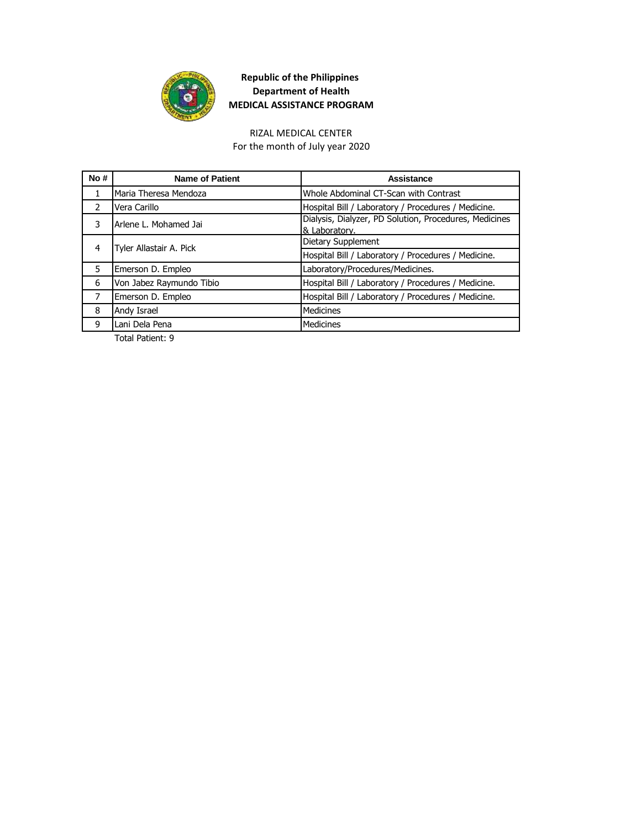

# RIZAL MEDICAL CENTER

For the month of July year 2020

| No#           | <b>Name of Patient</b>   | Assistance                                                              |
|---------------|--------------------------|-------------------------------------------------------------------------|
| 1             | Maria Theresa Mendoza    | Whole Abdominal CT-Scan with Contrast                                   |
| $\mathcal{L}$ | Vera Carillo             | Hospital Bill / Laboratory / Procedures / Medicine.                     |
| 3             | Arlene L. Mohamed Jai    | Dialysis, Dialyzer, PD Solution, Procedures, Medicines<br>& Laboratory. |
| 4             | Tyler Allastair A. Pick  | Dietary Supplement                                                      |
|               |                          | Hospital Bill / Laboratory / Procedures / Medicine.                     |
| 5             | Emerson D. Empleo        | Laboratory/Procedures/Medicines.                                        |
| 6             | Von Jabez Raymundo Tibio | Hospital Bill / Laboratory / Procedures / Medicine.                     |
| 7             | Emerson D. Empleo        | Hospital Bill / Laboratory / Procedures / Medicine.                     |
| 8             | Andy Israel              | <b>Medicines</b>                                                        |
| 9             | Lani Dela Pena           | <b>Medicines</b>                                                        |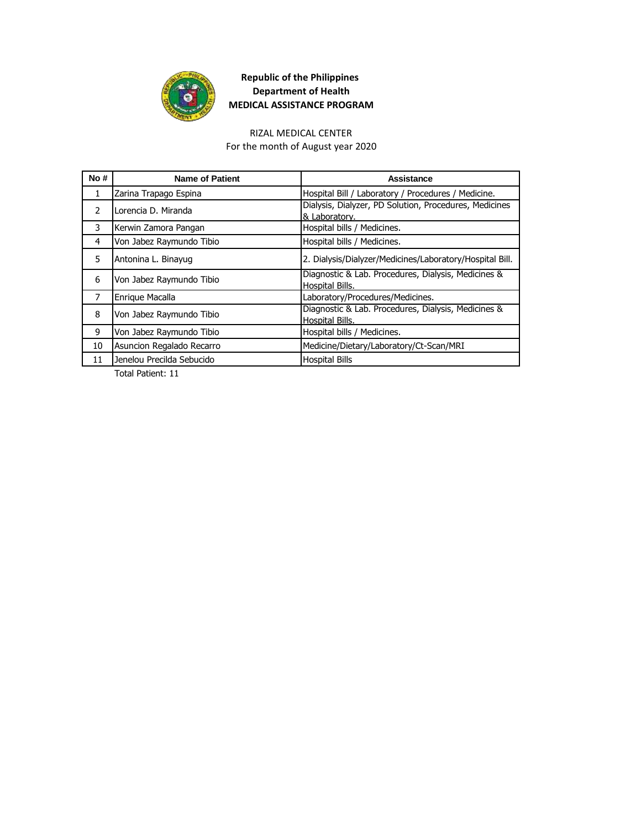

#### RIZAL MEDICAL CENTER

For the month of August year 2020

| No#            | <b>Name of Patient</b>    | Assistance                                                              |
|----------------|---------------------------|-------------------------------------------------------------------------|
| 1              | Zarina Trapago Espina     | Hospital Bill / Laboratory / Procedures / Medicine.                     |
| $\mathcal{P}$  | Lorencia D. Miranda       | Dialysis, Dialyzer, PD Solution, Procedures, Medicines<br>& Laboratory. |
| 3              | Kerwin Zamora Pangan      | Hospital bills / Medicines.                                             |
| 4              | Von Jabez Raymundo Tibio  | Hospital bills / Medicines.                                             |
| 5              | Antonina L. Binayug       | 2. Dialysis/Dialyzer/Medicines/Laboratory/Hospital Bill.                |
| 6              | Von Jabez Raymundo Tibio  | Diagnostic & Lab. Procedures, Dialysis, Medicines &<br>Hospital Bills.  |
| $\overline{7}$ | Enrique Macalla           | Laboratory/Procedures/Medicines.                                        |
| 8              | Von Jabez Raymundo Tibio  | Diagnostic & Lab. Procedures, Dialysis, Medicines &<br>Hospital Bills.  |
| 9              | Von Jabez Raymundo Tibio  | Hospital bills / Medicines.                                             |
| 10             | Asuncion Regalado Recarro | Medicine/Dietary/Laboratory/Ct-Scan/MRI                                 |
| 11             | Jenelou Precilda Sebucido | <b>Hospital Bills</b>                                                   |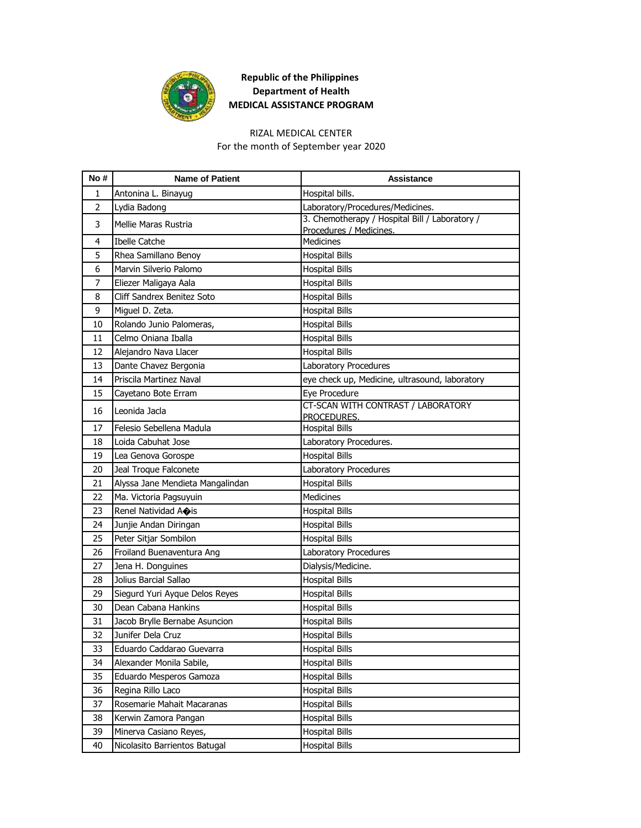

#### RIZAL MEDICAL CENTER

For the month of September year 2020

| No#            | <b>Name of Patient</b>                                    | <b>Assistance</b>                               |
|----------------|-----------------------------------------------------------|-------------------------------------------------|
| 1              | Antonina L. Binayug                                       | Hospital bills.                                 |
| $\overline{2}$ | Lydia Badong                                              | Laboratory/Procedures/Medicines.                |
| 3              | Mellie Maras Rustria                                      | 3. Chemotherapy / Hospital Bill / Laboratory /  |
| 4              | <b>Ibelle Catche</b>                                      | Procedures / Medicines.<br>Medicines            |
| 5              | Rhea Samillano Benoy                                      | <b>Hospital Bills</b>                           |
| 6              | Marvin Silverio Palomo                                    | <b>Hospital Bills</b>                           |
| 7              | Eliezer Maligaya Aala                                     | <b>Hospital Bills</b>                           |
| 8              | Cliff Sandrex Benitez Soto                                | <b>Hospital Bills</b>                           |
| 9              | Miguel D. Zeta.                                           | <b>Hospital Bills</b>                           |
| 10             | Rolando Junio Palomeras,                                  | <b>Hospital Bills</b>                           |
| 11             | Celmo Oniana Iballa                                       | <b>Hospital Bills</b>                           |
| 12             | Alejandro Nava Llacer                                     | <b>Hospital Bills</b>                           |
| 13             | Dante Chavez Bergonia                                     | Laboratory Procedures                           |
| 14             | Priscila Martinez Naval                                   | eye check up, Medicine, ultrasound, laboratory  |
| 15             | Cayetano Bote Erram                                       | Eye Procedure                                   |
| 16             | Leonida Jacla                                             | CT-SCAN WITH CONTRAST / LABORATORY              |
| 17             |                                                           | PROCEDURES.                                     |
|                | Felesio Sebellena Madula<br>Loida Cabuhat Jose            | <b>Hospital Bills</b>                           |
| 18<br>19       |                                                           | Laboratory Procedures.<br><b>Hospital Bills</b> |
| 20             | Lea Genova Gorospe                                        |                                                 |
| 21             | Jeal Troque Falconete<br>Alyssa Jane Mendieta Mangalindan | Laboratory Procedures<br><b>Hospital Bills</b>  |
| 22             | Ma. Victoria Pagsuyuin                                    | <b>Medicines</b>                                |
| 23             | Renel Natividad Aois                                      | <b>Hospital Bills</b>                           |
| 24             | Junjie Andan Diringan                                     | <b>Hospital Bills</b>                           |
| 25             | Peter Sitjar Sombilon                                     | <b>Hospital Bills</b>                           |
| 26             | Froiland Buenaventura Ang                                 | Laboratory Procedures                           |
| 27             | Jena H. Donguines                                         | Dialysis/Medicine.                              |
| 28             | Jolius Barcial Sallao                                     | <b>Hospital Bills</b>                           |
| 29             | Siegurd Yuri Ayque Delos Reyes                            | <b>Hospital Bills</b>                           |
| 30             | Dean Cabana Hankins                                       | <b>Hospital Bills</b>                           |
| 31             | Jacob Brylle Bernabe Asuncion                             | <b>Hospital Bills</b>                           |
| 32             | Junifer Dela Cruz                                         | <b>Hospital Bills</b>                           |
| 33             | Eduardo Caddarao Guevarra                                 | <b>Hospital Bills</b>                           |
| 34             | Alexander Monila Sabile,                                  | <b>Hospital Bills</b>                           |
| 35             | Eduardo Mesperos Gamoza                                   | <b>Hospital Bills</b>                           |
| 36             | Regina Rillo Laco                                         | <b>Hospital Bills</b>                           |
| 37             | Rosemarie Mahait Macaranas                                | <b>Hospital Bills</b>                           |
| 38             | Kerwin Zamora Pangan                                      | <b>Hospital Bills</b>                           |
| 39             | Minerva Casiano Reyes,                                    | <b>Hospital Bills</b>                           |
| 40             | Nicolasito Barrientos Batugal                             | <b>Hospital Bills</b>                           |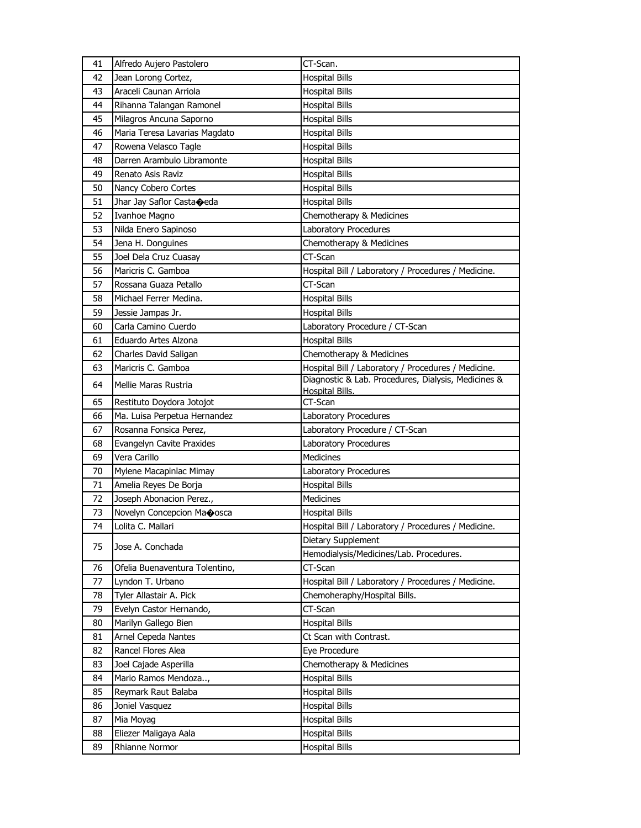| 41 | Alfredo Aujero Pastolero       | CT-Scan.                                                               |
|----|--------------------------------|------------------------------------------------------------------------|
| 42 | Jean Lorong Cortez,            | <b>Hospital Bills</b>                                                  |
| 43 | Araceli Caunan Arriola         | <b>Hospital Bills</b>                                                  |
| 44 | Rihanna Talangan Ramonel       | <b>Hospital Bills</b>                                                  |
| 45 | Milagros Ancuna Saporno        | <b>Hospital Bills</b>                                                  |
| 46 | Maria Teresa Lavarias Magdato  | <b>Hospital Bills</b>                                                  |
| 47 | Rowena Velasco Tagle           | <b>Hospital Bills</b>                                                  |
| 48 | Darren Arambulo Libramonte     | <b>Hospital Bills</b>                                                  |
| 49 | Renato Asis Raviz              | <b>Hospital Bills</b>                                                  |
| 50 | Nancy Cobero Cortes            | <b>Hospital Bills</b>                                                  |
| 51 | Jhar Jay Saflor Castaoeda      | <b>Hospital Bills</b>                                                  |
| 52 | Ivanhoe Magno                  | Chemotherapy & Medicines                                               |
| 53 | Nilda Enero Sapinoso           | Laboratory Procedures                                                  |
| 54 | Jena H. Donguines              | Chemotherapy & Medicines                                               |
| 55 | Joel Dela Cruz Cuasay          | CT-Scan                                                                |
| 56 | Maricris C. Gamboa             | Hospital Bill / Laboratory / Procedures / Medicine.                    |
| 57 | Rossana Guaza Petallo          | CT-Scan                                                                |
| 58 | Michael Ferrer Medina.         | <b>Hospital Bills</b>                                                  |
| 59 | Jessie Jampas Jr.              | <b>Hospital Bills</b>                                                  |
| 60 | Carla Camino Cuerdo            | Laboratory Procedure / CT-Scan                                         |
| 61 | Eduardo Artes Alzona           | <b>Hospital Bills</b>                                                  |
| 62 | Charles David Saligan          | Chemotherapy & Medicines                                               |
| 63 | Maricris C. Gamboa             | Hospital Bill / Laboratory / Procedures / Medicine.                    |
| 64 | Mellie Maras Rustria           | Diagnostic & Lab. Procedures, Dialysis, Medicines &<br>Hospital Bills. |
| 65 | Restituto Doydora Jotojot      | CT-Scan                                                                |
| 66 | Ma. Luisa Perpetua Hernandez   | Laboratory Procedures                                                  |
| 67 | Rosanna Fonsica Perez,         | Laboratory Procedure / CT-Scan                                         |
| 68 | Evangelyn Cavite Praxides      | Laboratory Procedures                                                  |
| 69 | Vera Carillo                   | Medicines                                                              |
| 70 | Mylene Macapinlac Mimay        | Laboratory Procedures                                                  |
| 71 | Amelia Reyes De Borja          | <b>Hospital Bills</b>                                                  |
| 72 | Joseph Abonacion Perez.,       | Medicines                                                              |
| 73 | Novelyn Concepcion Maoosca     | <b>Hospital Bills</b>                                                  |
| 74 | Lolita C. Mallari              | Hospital Bill / Laboratory / Procedures / Medicine.                    |
|    |                                | Dietary Supplement                                                     |
| 75 | Jose A. Conchada               | Hemodialysis/Medicines/Lab. Procedures.                                |
| 76 | Ofelia Buenaventura Tolentino, | CT-Scan                                                                |
| 77 | Lyndon T. Urbano               | Hospital Bill / Laboratory / Procedures / Medicine.                    |
| 78 | Tyler Allastair A. Pick        | Chemoheraphy/Hospital Bills.                                           |
| 79 | Evelyn Castor Hernando,        | CT-Scan                                                                |
| 80 | Marilyn Gallego Bien           | <b>Hospital Bills</b>                                                  |
| 81 | Arnel Cepeda Nantes            | Ct Scan with Contrast.                                                 |
| 82 | Rancel Flores Alea             | Eye Procedure                                                          |
| 83 | Joel Cajade Asperilla          | Chemotherapy & Medicines                                               |
| 84 | Mario Ramos Mendoza,           | <b>Hospital Bills</b>                                                  |
| 85 | Reymark Raut Balaba            | <b>Hospital Bills</b>                                                  |
| 86 | Joniel Vasquez                 | <b>Hospital Bills</b>                                                  |
| 87 | Mia Moyag                      | <b>Hospital Bills</b>                                                  |
| 88 | Eliezer Maligaya Aala          | <b>Hospital Bills</b>                                                  |
| 89 | Rhianne Normor                 | <b>Hospital Bills</b>                                                  |
|    |                                |                                                                        |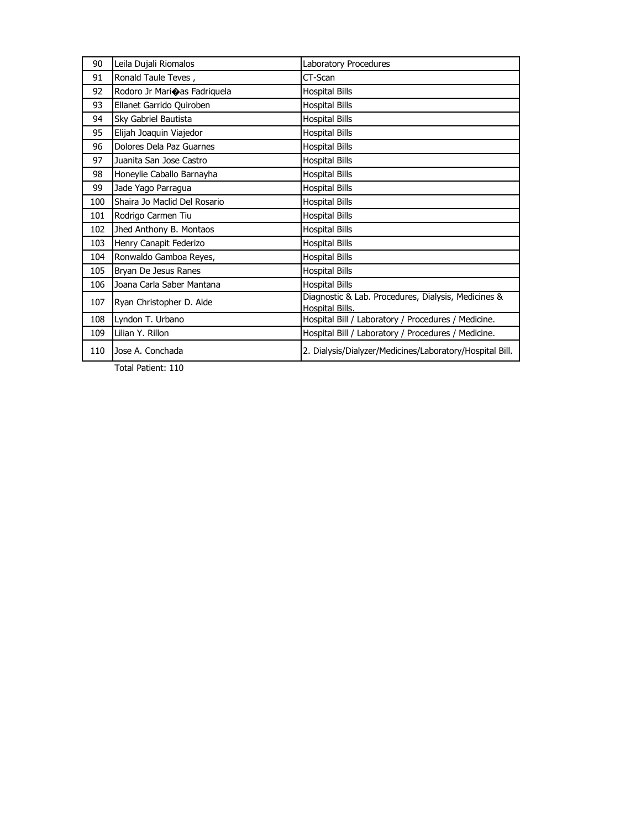| 90  | Leila Dujali Riomalos        | Laboratory Procedures                                                  |
|-----|------------------------------|------------------------------------------------------------------------|
| 91  | Ronald Taule Teves,          | CT-Scan                                                                |
| 92  | Rodoro Jr Marioas Fadriquela | <b>Hospital Bills</b>                                                  |
| 93  | Ellanet Garrido Quiroben     | <b>Hospital Bills</b>                                                  |
| 94  | Sky Gabriel Bautista         | <b>Hospital Bills</b>                                                  |
| 95  | Elijah Joaquin Viajedor      | <b>Hospital Bills</b>                                                  |
| 96  | Dolores Dela Paz Guarnes     | <b>Hospital Bills</b>                                                  |
| 97  | Juanita San Jose Castro      | <b>Hospital Bills</b>                                                  |
| 98  | Honeylie Caballo Barnayha    | <b>Hospital Bills</b>                                                  |
| 99  | Jade Yago Parragua           | <b>Hospital Bills</b>                                                  |
| 100 | Shaira Jo Maclid Del Rosario | <b>Hospital Bills</b>                                                  |
| 101 | Rodrigo Carmen Tiu           | <b>Hospital Bills</b>                                                  |
| 102 | Jhed Anthony B. Montaos      | <b>Hospital Bills</b>                                                  |
| 103 | Henry Canapit Federizo       | <b>Hospital Bills</b>                                                  |
| 104 | Ronwaldo Gamboa Reyes,       | <b>Hospital Bills</b>                                                  |
| 105 | Bryan De Jesus Ranes         | <b>Hospital Bills</b>                                                  |
| 106 | Joana Carla Saber Mantana    | <b>Hospital Bills</b>                                                  |
| 107 | Ryan Christopher D. Alde     | Diagnostic & Lab. Procedures, Dialysis, Medicines &<br>Hospital Bills. |
| 108 | Lyndon T. Urbano             | Hospital Bill / Laboratory / Procedures / Medicine.                    |
| 109 | Lilian Y. Rillon             | Hospital Bill / Laboratory / Procedures / Medicine.                    |
|     |                              |                                                                        |
| 110 | Jose A. Conchada             | 2. Dialysis/Dialyzer/Medicines/Laboratory/Hospital Bill.               |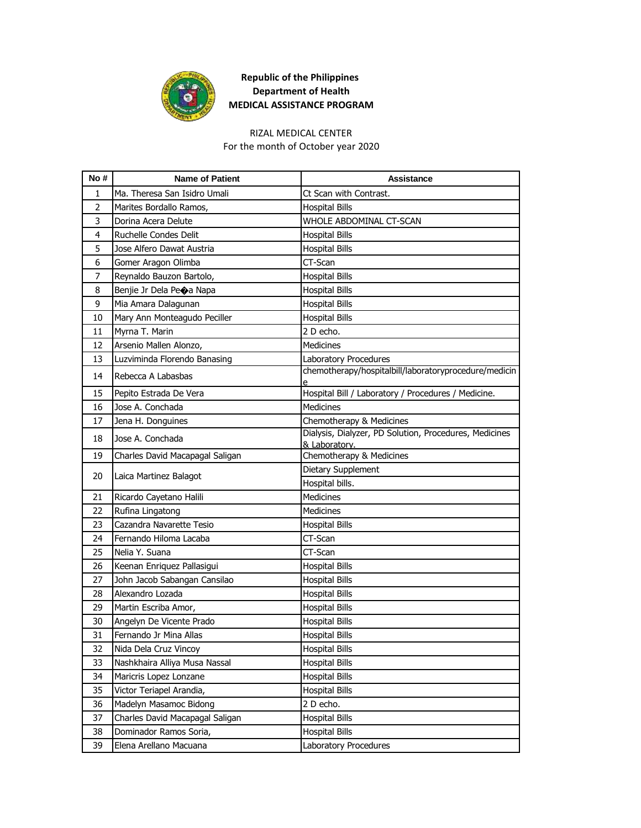

#### RIZAL MEDICAL CENTER

For the month of October year 2020

| No#            | <b>Name of Patient</b>          | <b>Assistance</b>                                                                  |
|----------------|---------------------------------|------------------------------------------------------------------------------------|
| 1              | Ma. Theresa San Isidro Umali    | Ct Scan with Contrast.                                                             |
| $\overline{2}$ | Marites Bordallo Ramos,         | <b>Hospital Bills</b>                                                              |
| 3              | Dorina Acera Delute             | WHOLE ABDOMINAL CT-SCAN                                                            |
| $\overline{4}$ | Ruchelle Condes Delit           | <b>Hospital Bills</b>                                                              |
| 5              | Jose Alfero Dawat Austria       | <b>Hospital Bills</b>                                                              |
| 6              | Gomer Aragon Olimba             | CT-Scan                                                                            |
| $\overline{7}$ | Reynaldo Bauzon Bartolo,        | <b>Hospital Bills</b>                                                              |
| 8              | Benjie Jr Dela Pe�a Napa        | <b>Hospital Bills</b>                                                              |
| 9              | Mia Amara Dalagunan             | <b>Hospital Bills</b>                                                              |
| 10             | Mary Ann Monteagudo Peciller    | <b>Hospital Bills</b>                                                              |
| 11             | Myrna T. Marin                  | 2 D echo.                                                                          |
| 12             | Arsenio Mallen Alonzo,          | <b>Medicines</b>                                                                   |
| 13             | Luzviminda Florendo Banasing    | Laboratory Procedures                                                              |
| 14             | Rebecca A Labasbas              | chemotherapy/hospitalbill/laboratoryprocedure/medicin                              |
|                |                                 | e                                                                                  |
| 15             | Pepito Estrada De Vera          | Hospital Bill / Laboratory / Procedures / Medicine.                                |
| 16             | Jose A. Conchada                | Medicines                                                                          |
| 17             | Jena H. Donguines               | Chemotherapy & Medicines<br>Dialysis, Dialyzer, PD Solution, Procedures, Medicines |
| 18             | Jose A. Conchada                | & Laboratory.                                                                      |
| 19             | Charles David Macapagal Saligan | Chemotherapy & Medicines                                                           |
|                |                                 | Dietary Supplement                                                                 |
| 20             | Laica Martinez Balagot          | Hospital bills.                                                                    |
| 21             | Ricardo Cayetano Halili         | <b>Medicines</b>                                                                   |
| 22             | Rufina Lingatong                | <b>Medicines</b>                                                                   |
| 23             | Cazandra Navarette Tesio        | <b>Hospital Bills</b>                                                              |
| 24             | Fernando Hiloma Lacaba          | CT-Scan                                                                            |
| 25             | Nelia Y. Suana                  | CT-Scan                                                                            |
| 26             | Keenan Enriquez Pallasigui      | <b>Hospital Bills</b>                                                              |
| 27             | John Jacob Sabangan Cansilao    | <b>Hospital Bills</b>                                                              |
| 28             | Alexandro Lozada                | <b>Hospital Bills</b>                                                              |
| 29             | Martin Escriba Amor,            | <b>Hospital Bills</b>                                                              |
| 30             | Angelyn De Vicente Prado        | <b>Hospital Bills</b>                                                              |
| 31             | Fernando Jr Mina Allas          | <b>Hospital Bills</b>                                                              |
| 32             | Nida Dela Cruz Vincoy           | <b>Hospital Bills</b>                                                              |
| 33             | Nashkhaira Alliya Musa Nassal   | Hospital Bills                                                                     |
| 34             | Maricris Lopez Lonzane          | <b>Hospital Bills</b>                                                              |
| 35             | Victor Teriapel Arandia,        | Hospital Bills                                                                     |
| 36             | Madelyn Masamoc Bidong          | 2 D echo.                                                                          |
| 37             | Charles David Macapagal Saligan | <b>Hospital Bills</b>                                                              |
| 38             | Dominador Ramos Soria,          | <b>Hospital Bills</b>                                                              |
| 39             | Elena Arellano Macuana          | Laboratory Procedures                                                              |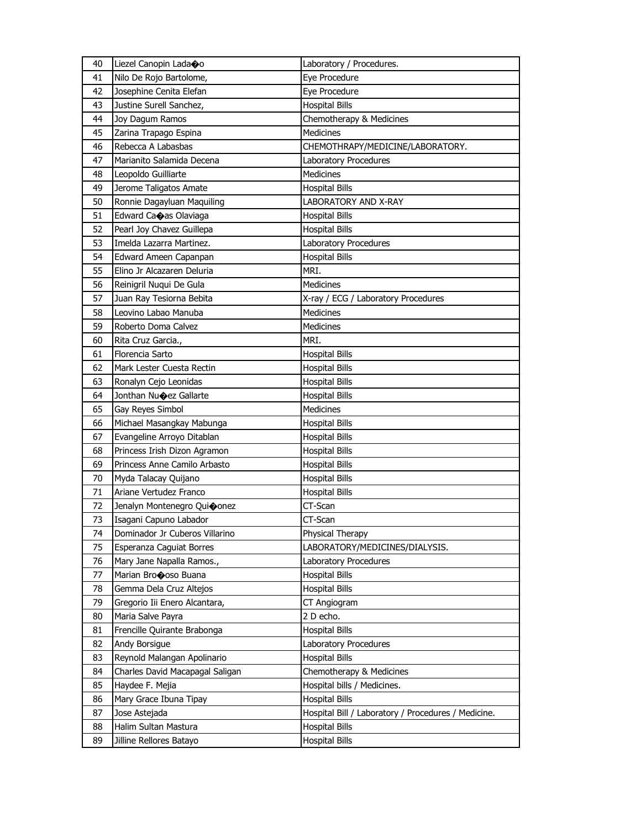| 40 | Liezel Canopin Ladaoo             | Laboratory / Procedures.                            |
|----|-----------------------------------|-----------------------------------------------------|
| 41 | Nilo De Rojo Bartolome,           | Eye Procedure                                       |
| 42 | Josephine Cenita Elefan           | Eye Procedure                                       |
| 43 | Justine Surell Sanchez,           | <b>Hospital Bills</b>                               |
| 44 | Joy Dagum Ramos                   | Chemotherapy & Medicines                            |
| 45 | Zarina Trapago Espina             | <b>Medicines</b>                                    |
| 46 | Rebecca A Labasbas                | CHEMOTHRAPY/MEDICINE/LABORATORY.                    |
| 47 | Marianito Salamida Decena         | Laboratory Procedures                               |
| 48 | Leopoldo Guilliarte               | Medicines                                           |
| 49 | Jerome Taligatos Amate            | <b>Hospital Bills</b>                               |
| 50 | Ronnie Dagayluan Maquiling        | <b>LABORATORY AND X-RAY</b>                         |
| 51 | Edward Caoas Olaviaga             | <b>Hospital Bills</b>                               |
| 52 | Pearl Joy Chavez Guillepa         | <b>Hospital Bills</b>                               |
| 53 | Imelda Lazarra Martinez.          | Laboratory Procedures                               |
| 54 | Edward Ameen Capanpan             | <b>Hospital Bills</b>                               |
| 55 | Elino Jr Alcazaren Deluria        | MRI.                                                |
| 56 | Reinigril Nuqui De Gula           | Medicines                                           |
| 57 | Juan Ray Tesiorna Bebita          | X-ray / ECG / Laboratory Procedures                 |
| 58 | Leovino Labao Manuba              | Medicines                                           |
| 59 | Roberto Doma Calvez               | <b>Medicines</b>                                    |
| 60 | Rita Cruz Garcia.,                | MRI.                                                |
| 61 | Florencia Sarto                   | <b>Hospital Bills</b>                               |
| 62 | Mark Lester Cuesta Rectin         | <b>Hospital Bills</b>                               |
| 63 | Ronalyn Cejo Leonidas             | <b>Hospital Bills</b>                               |
| 64 | Jonthan Nu $\bigcirc$ ez Gallarte | <b>Hospital Bills</b>                               |
| 65 | Gay Reyes Simbol                  | Medicines                                           |
| 66 | Michael Masangkay Mabunga         | <b>Hospital Bills</b>                               |
| 67 | Evangeline Arroyo Ditablan        | <b>Hospital Bills</b>                               |
| 68 | Princess Irish Dizon Agramon      | <b>Hospital Bills</b>                               |
| 69 | Princess Anne Camilo Arbasto      | <b>Hospital Bills</b>                               |
| 70 | Myda Talacay Quijano              | <b>Hospital Bills</b>                               |
| 71 | Ariane Vertudez Franco            | <b>Hospital Bills</b>                               |
| 72 | Jenalyn Montenegro Quioonez       | CT-Scan                                             |
| 73 | Isagani Capuno Labador            | CT-Scan                                             |
| 74 | Dominador Jr Cuberos Villarino    | Physical Therapy                                    |
| 75 | Esperanza Caguiat Borres          | LABORATORY/MEDICINES/DIALYSIS.                      |
| 76 | Mary Jane Napalla Ramos.,         | Laboratory Procedures                               |
| 77 | Marian Brocoso Buana              | <b>Hospital Bills</b>                               |
| 78 | Gemma Dela Cruz Altejos           | <b>Hospital Bills</b>                               |
| 79 | Gregorio Iii Enero Alcantara,     | CT Angiogram                                        |
| 80 | Maria Salve Payra                 | 2 D echo.                                           |
| 81 | Frencille Quirante Brabonga       | <b>Hospital Bills</b>                               |
| 82 | Andy Borsigue                     | Laboratory Procedures                               |
| 83 | Reynold Malangan Apolinario       | <b>Hospital Bills</b>                               |
| 84 | Charles David Macapagal Saligan   | Chemotherapy & Medicines                            |
| 85 | Haydee F. Mejia                   | Hospital bills / Medicines.                         |
| 86 | Mary Grace Ibuna Tipay            | <b>Hospital Bills</b>                               |
| 87 | Jose Astejada                     | Hospital Bill / Laboratory / Procedures / Medicine. |
| 88 | Halim Sultan Mastura              | <b>Hospital Bills</b>                               |
| 89 | Jilline Rellores Batayo           | Hospital Bills                                      |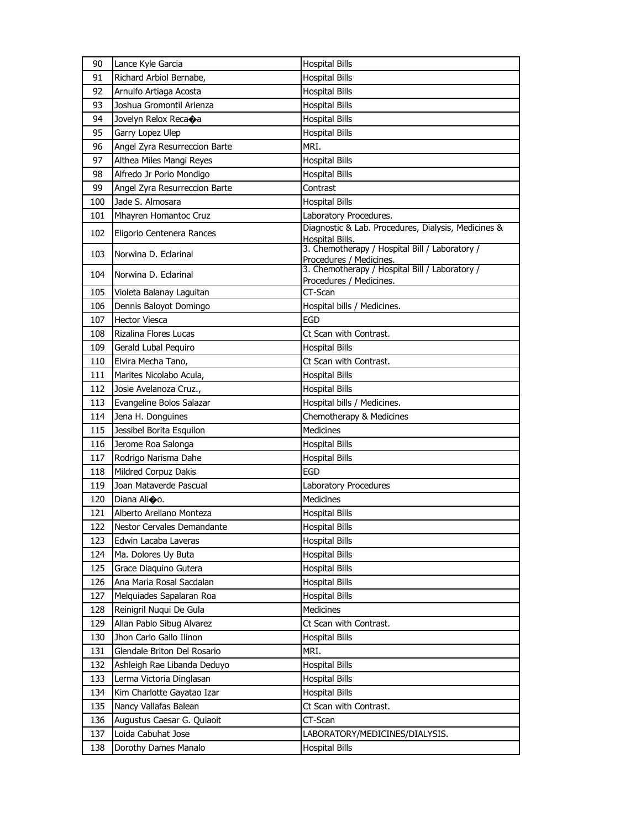| 90  | Lance Kyle Garcia               | <b>Hospital Bills</b>                                                     |
|-----|---------------------------------|---------------------------------------------------------------------------|
| 91  | Richard Arbiol Bernabe,         | <b>Hospital Bills</b>                                                     |
| 92  | Arnulfo Artiaga Acosta          | <b>Hospital Bills</b>                                                     |
| 93  | Joshua Gromontil Arienza        | <b>Hospital Bills</b>                                                     |
| 94  | Jovelyn Relox Reca $\bigcirc$ a | <b>Hospital Bills</b>                                                     |
| 95  | Garry Lopez Ulep                | <b>Hospital Bills</b>                                                     |
| 96  | Angel Zyra Resurreccion Barte   | MRI.                                                                      |
| 97  | Althea Miles Mangi Reyes        | <b>Hospital Bills</b>                                                     |
| 98  | Alfredo Jr Porio Mondigo        | <b>Hospital Bills</b>                                                     |
| 99  | Angel Zyra Resurreccion Barte   | Contrast                                                                  |
| 100 | Jade S. Almosara                | <b>Hospital Bills</b>                                                     |
| 101 | Mhayren Homantoc Cruz           | Laboratory Procedures.                                                    |
| 102 | Eligorio Centenera Rances       | Diagnostic & Lab. Procedures, Dialysis, Medicines &                       |
|     |                                 | <b>Hospital Bills.</b><br>3. Chemotherapy / Hospital Bill / Laboratory /  |
| 103 | Norwina D. Eclarinal            |                                                                           |
| 104 | Norwina D. Eclarinal            | Procedures / Medicines.<br>3. Chemotherapy / Hospital Bill / Laboratory / |
|     |                                 | Procedures / Medicines.                                                   |
| 105 | Violeta Balanay Laguitan        | CT-Scan                                                                   |
| 106 | Dennis Baloyot Domingo          | Hospital bills / Medicines.                                               |
| 107 | <b>Hector Viesca</b>            | <b>EGD</b>                                                                |
| 108 | Rizalina Flores Lucas           | Ct Scan with Contrast.                                                    |
| 109 | Gerald Lubal Pequiro            | <b>Hospital Bills</b>                                                     |
| 110 | Elvira Mecha Tano,              | Ct Scan with Contrast.                                                    |
| 111 | Marites Nicolabo Acula,         | <b>Hospital Bills</b>                                                     |
| 112 | Josie Avelanoza Cruz.,          | <b>Hospital Bills</b>                                                     |
| 113 | Evangeline Bolos Salazar        | Hospital bills / Medicines.                                               |
| 114 | Jena H. Donguines               | Chemotherapy & Medicines                                                  |
| 115 | Jessibel Borita Esquilon        | <b>Medicines</b>                                                          |
| 116 | Jerome Roa Salonga              | <b>Hospital Bills</b>                                                     |
| 117 | Rodrigo Narisma Dahe            | <b>Hospital Bills</b>                                                     |
| 118 | Mildred Corpuz Dakis            | <b>EGD</b>                                                                |
| 119 | Joan Mataverde Pascual          | Laboratory Procedures                                                     |
| 120 | Diana Ali�o.                    | <b>Medicines</b>                                                          |
| 121 | Alberto Arellano Monteza        | <b>Hospital Bills</b>                                                     |
| 122 | Nestor Cervales Demandante      | <b>Hospital Bills</b>                                                     |
| 123 | Edwin Lacaba Laveras            | <b>Hospital Bills</b>                                                     |
| 124 | Ma. Dolores Uy Buta             | <b>Hospital Bills</b>                                                     |
| 125 | Grace Diaquino Gutera           | <b>Hospital Bills</b>                                                     |
| 126 | Ana Maria Rosal Sacdalan        | <b>Hospital Bills</b>                                                     |
| 127 | Melquiades Sapalaran Roa        | <b>Hospital Bills</b>                                                     |
| 128 | Reinigril Nuqui De Gula         | Medicines                                                                 |
| 129 | Allan Pablo Sibug Alvarez       | Ct Scan with Contrast.                                                    |
| 130 | Jhon Carlo Gallo Ilinon         | <b>Hospital Bills</b>                                                     |
| 131 | Glendale Briton Del Rosario     | MRI.                                                                      |
| 132 | Ashleigh Rae Libanda Deduyo     | <b>Hospital Bills</b>                                                     |
| 133 | Lerma Victoria Dinglasan        | <b>Hospital Bills</b>                                                     |
| 134 | Kim Charlotte Gayatao Izar      | <b>Hospital Bills</b>                                                     |
| 135 | Nancy Vallafas Balean           | Ct Scan with Contrast.                                                    |
| 136 | Augustus Caesar G. Quiaoit      | CT-Scan                                                                   |
| 137 | Loida Cabuhat Jose              | LABORATORY/MEDICINES/DIALYSIS.                                            |
| 138 | Dorothy Dames Manalo            | <b>Hospital Bills</b>                                                     |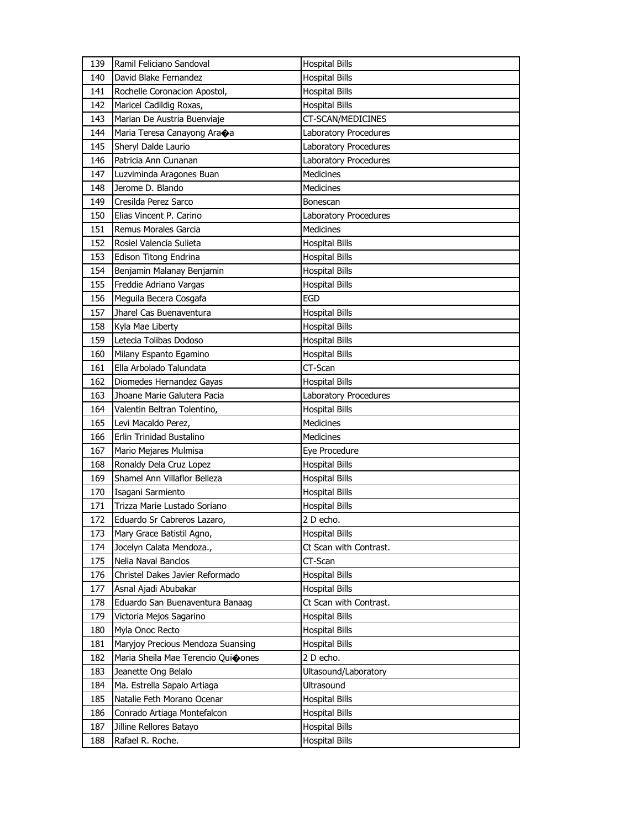| 140<br>David Blake Fernandez<br><b>Hospital Bills</b><br>141<br>Rochelle Coronacion Apostol,<br><b>Hospital Bills</b><br>142<br>Maricel Cadildig Roxas,<br>Hospital Bills<br>143<br>Marian De Austria Buenviaje<br>CT-SCAN/MEDICINES<br>144<br>Maria Teresa Canayong Ara $\otimes$ a<br>Laboratory Procedures<br>145<br>Sheryl Dalde Laurio<br>Laboratory Procedures<br>146<br>Patricia Ann Cunanan<br>Laboratory Procedures<br>147<br>Medicines<br>Luzviminda Aragones Buan<br>Jerome D. Blando<br>148<br>Medicines<br>149<br>Cresilda Perez Sarco<br>Bonescan<br>150<br>Elias Vincent P. Carino<br>Laboratory Procedures<br><b>Medicines</b><br>151<br>Remus Morales Garcia<br>152<br>Rosiel Valencia Sulieta<br><b>Hospital Bills</b><br>153<br>Edison Titong Endrina<br><b>Hospital Bills</b><br>154<br>Benjamin Malanay Benjamin<br><b>Hospital Bills</b><br>Freddie Adriano Vargas<br>155<br><b>Hospital Bills</b><br>156<br>Meguila Becera Cosgafa<br>EGD<br>Jharel Cas Buenaventura<br><b>Hospital Bills</b><br>157<br>158<br>Kyla Mae Liberty<br><b>Hospital Bills</b><br>Letecia Tolibas Dodoso<br>159<br><b>Hospital Bills</b><br>160<br>Milany Espanto Egamino<br><b>Hospital Bills</b><br>161<br>Ella Arbolado Talundata<br>CT-Scan<br><b>Hospital Bills</b><br>162<br>Diomedes Hernandez Gayas<br>163<br>Jhoane Marie Galutera Pacia<br>Laboratory Procedures<br><b>Hospital Bills</b><br>164<br>Valentin Beltran Tolentino,<br>165<br>Levi Macaldo Perez,<br>Medicines<br>Erlin Trinidad Bustalino<br><b>Medicines</b><br>166<br>167<br>Mario Mejares Mulmisa<br>Eye Procedure<br>168<br>Ronaldy Dela Cruz Lopez<br><b>Hospital Bills</b><br>Shamel Ann Villaflor Belleza<br>169<br><b>Hospital Bills</b><br>170<br>Isagani Sarmiento<br><b>Hospital Bills</b><br>Trizza Marie Lustado Soriano<br>171<br><b>Hospital Bills</b><br>172<br>Eduardo Sr Cabreros Lazaro,<br>2 D echo.<br>173<br>Mary Grace Batistil Agno,<br><b>Hospital Bills</b><br>Jocelyn Calata Mendoza.,<br>Ct Scan with Contrast.<br>174<br>Nelia Naval Banclos<br>CT-Scan<br>175<br>Christel Dakes Javier Reformado<br><b>Hospital Bills</b><br>176<br>177<br>Asnal Ajadi Abubakar<br><b>Hospital Bills</b><br>178<br>Eduardo San Buenaventura Banaag<br>Ct Scan with Contrast.<br>179<br>Victoria Mejos Sagarino<br><b>Hospital Bills</b><br>180<br>Myla Onoc Recto<br><b>Hospital Bills</b><br>181<br>Maryjoy Precious Mendoza Suansing<br><b>Hospital Bills</b><br>182<br>Maria Sheila Mae Terencio Quioones<br>2 D echo.<br>183<br>Jeanette Ong Belalo<br>Ultasound/Laboratory<br>Ultrasound<br>184<br>Ma. Estrella Sapalo Artiaga<br>185<br>Natalie Feth Morano Ocenar<br><b>Hospital Bills</b><br>186<br>Conrado Artiaga Montefalcon<br><b>Hospital Bills</b><br>187<br>Jilline Rellores Batayo<br>Hospital Bills<br>188<br>Rafael R. Roche.<br><b>Hospital Bills</b> | 139 | Ramil Feliciano Sandoval | <b>Hospital Bills</b> |
|----------------------------------------------------------------------------------------------------------------------------------------------------------------------------------------------------------------------------------------------------------------------------------------------------------------------------------------------------------------------------------------------------------------------------------------------------------------------------------------------------------------------------------------------------------------------------------------------------------------------------------------------------------------------------------------------------------------------------------------------------------------------------------------------------------------------------------------------------------------------------------------------------------------------------------------------------------------------------------------------------------------------------------------------------------------------------------------------------------------------------------------------------------------------------------------------------------------------------------------------------------------------------------------------------------------------------------------------------------------------------------------------------------------------------------------------------------------------------------------------------------------------------------------------------------------------------------------------------------------------------------------------------------------------------------------------------------------------------------------------------------------------------------------------------------------------------------------------------------------------------------------------------------------------------------------------------------------------------------------------------------------------------------------------------------------------------------------------------------------------------------------------------------------------------------------------------------------------------------------------------------------------------------------------------------------------------------------------------------------------------------------------------------------------------------------------------------------------------------------------------------------------------------------------------------------------------------------------------------------------------------------------------------------------------------------------------------------------------------------------------------------------------------------------------------------------------------------------------------------|-----|--------------------------|-----------------------|
|                                                                                                                                                                                                                                                                                                                                                                                                                                                                                                                                                                                                                                                                                                                                                                                                                                                                                                                                                                                                                                                                                                                                                                                                                                                                                                                                                                                                                                                                                                                                                                                                                                                                                                                                                                                                                                                                                                                                                                                                                                                                                                                                                                                                                                                                                                                                                                                                                                                                                                                                                                                                                                                                                                                                                                                                                                                                |     |                          |                       |
|                                                                                                                                                                                                                                                                                                                                                                                                                                                                                                                                                                                                                                                                                                                                                                                                                                                                                                                                                                                                                                                                                                                                                                                                                                                                                                                                                                                                                                                                                                                                                                                                                                                                                                                                                                                                                                                                                                                                                                                                                                                                                                                                                                                                                                                                                                                                                                                                                                                                                                                                                                                                                                                                                                                                                                                                                                                                |     |                          |                       |
|                                                                                                                                                                                                                                                                                                                                                                                                                                                                                                                                                                                                                                                                                                                                                                                                                                                                                                                                                                                                                                                                                                                                                                                                                                                                                                                                                                                                                                                                                                                                                                                                                                                                                                                                                                                                                                                                                                                                                                                                                                                                                                                                                                                                                                                                                                                                                                                                                                                                                                                                                                                                                                                                                                                                                                                                                                                                |     |                          |                       |
|                                                                                                                                                                                                                                                                                                                                                                                                                                                                                                                                                                                                                                                                                                                                                                                                                                                                                                                                                                                                                                                                                                                                                                                                                                                                                                                                                                                                                                                                                                                                                                                                                                                                                                                                                                                                                                                                                                                                                                                                                                                                                                                                                                                                                                                                                                                                                                                                                                                                                                                                                                                                                                                                                                                                                                                                                                                                |     |                          |                       |
|                                                                                                                                                                                                                                                                                                                                                                                                                                                                                                                                                                                                                                                                                                                                                                                                                                                                                                                                                                                                                                                                                                                                                                                                                                                                                                                                                                                                                                                                                                                                                                                                                                                                                                                                                                                                                                                                                                                                                                                                                                                                                                                                                                                                                                                                                                                                                                                                                                                                                                                                                                                                                                                                                                                                                                                                                                                                |     |                          |                       |
|                                                                                                                                                                                                                                                                                                                                                                                                                                                                                                                                                                                                                                                                                                                                                                                                                                                                                                                                                                                                                                                                                                                                                                                                                                                                                                                                                                                                                                                                                                                                                                                                                                                                                                                                                                                                                                                                                                                                                                                                                                                                                                                                                                                                                                                                                                                                                                                                                                                                                                                                                                                                                                                                                                                                                                                                                                                                |     |                          |                       |
|                                                                                                                                                                                                                                                                                                                                                                                                                                                                                                                                                                                                                                                                                                                                                                                                                                                                                                                                                                                                                                                                                                                                                                                                                                                                                                                                                                                                                                                                                                                                                                                                                                                                                                                                                                                                                                                                                                                                                                                                                                                                                                                                                                                                                                                                                                                                                                                                                                                                                                                                                                                                                                                                                                                                                                                                                                                                |     |                          |                       |
|                                                                                                                                                                                                                                                                                                                                                                                                                                                                                                                                                                                                                                                                                                                                                                                                                                                                                                                                                                                                                                                                                                                                                                                                                                                                                                                                                                                                                                                                                                                                                                                                                                                                                                                                                                                                                                                                                                                                                                                                                                                                                                                                                                                                                                                                                                                                                                                                                                                                                                                                                                                                                                                                                                                                                                                                                                                                |     |                          |                       |
|                                                                                                                                                                                                                                                                                                                                                                                                                                                                                                                                                                                                                                                                                                                                                                                                                                                                                                                                                                                                                                                                                                                                                                                                                                                                                                                                                                                                                                                                                                                                                                                                                                                                                                                                                                                                                                                                                                                                                                                                                                                                                                                                                                                                                                                                                                                                                                                                                                                                                                                                                                                                                                                                                                                                                                                                                                                                |     |                          |                       |
|                                                                                                                                                                                                                                                                                                                                                                                                                                                                                                                                                                                                                                                                                                                                                                                                                                                                                                                                                                                                                                                                                                                                                                                                                                                                                                                                                                                                                                                                                                                                                                                                                                                                                                                                                                                                                                                                                                                                                                                                                                                                                                                                                                                                                                                                                                                                                                                                                                                                                                                                                                                                                                                                                                                                                                                                                                                                |     |                          |                       |
|                                                                                                                                                                                                                                                                                                                                                                                                                                                                                                                                                                                                                                                                                                                                                                                                                                                                                                                                                                                                                                                                                                                                                                                                                                                                                                                                                                                                                                                                                                                                                                                                                                                                                                                                                                                                                                                                                                                                                                                                                                                                                                                                                                                                                                                                                                                                                                                                                                                                                                                                                                                                                                                                                                                                                                                                                                                                |     |                          |                       |
|                                                                                                                                                                                                                                                                                                                                                                                                                                                                                                                                                                                                                                                                                                                                                                                                                                                                                                                                                                                                                                                                                                                                                                                                                                                                                                                                                                                                                                                                                                                                                                                                                                                                                                                                                                                                                                                                                                                                                                                                                                                                                                                                                                                                                                                                                                                                                                                                                                                                                                                                                                                                                                                                                                                                                                                                                                                                |     |                          |                       |
|                                                                                                                                                                                                                                                                                                                                                                                                                                                                                                                                                                                                                                                                                                                                                                                                                                                                                                                                                                                                                                                                                                                                                                                                                                                                                                                                                                                                                                                                                                                                                                                                                                                                                                                                                                                                                                                                                                                                                                                                                                                                                                                                                                                                                                                                                                                                                                                                                                                                                                                                                                                                                                                                                                                                                                                                                                                                |     |                          |                       |
|                                                                                                                                                                                                                                                                                                                                                                                                                                                                                                                                                                                                                                                                                                                                                                                                                                                                                                                                                                                                                                                                                                                                                                                                                                                                                                                                                                                                                                                                                                                                                                                                                                                                                                                                                                                                                                                                                                                                                                                                                                                                                                                                                                                                                                                                                                                                                                                                                                                                                                                                                                                                                                                                                                                                                                                                                                                                |     |                          |                       |
|                                                                                                                                                                                                                                                                                                                                                                                                                                                                                                                                                                                                                                                                                                                                                                                                                                                                                                                                                                                                                                                                                                                                                                                                                                                                                                                                                                                                                                                                                                                                                                                                                                                                                                                                                                                                                                                                                                                                                                                                                                                                                                                                                                                                                                                                                                                                                                                                                                                                                                                                                                                                                                                                                                                                                                                                                                                                |     |                          |                       |
|                                                                                                                                                                                                                                                                                                                                                                                                                                                                                                                                                                                                                                                                                                                                                                                                                                                                                                                                                                                                                                                                                                                                                                                                                                                                                                                                                                                                                                                                                                                                                                                                                                                                                                                                                                                                                                                                                                                                                                                                                                                                                                                                                                                                                                                                                                                                                                                                                                                                                                                                                                                                                                                                                                                                                                                                                                                                |     |                          |                       |
|                                                                                                                                                                                                                                                                                                                                                                                                                                                                                                                                                                                                                                                                                                                                                                                                                                                                                                                                                                                                                                                                                                                                                                                                                                                                                                                                                                                                                                                                                                                                                                                                                                                                                                                                                                                                                                                                                                                                                                                                                                                                                                                                                                                                                                                                                                                                                                                                                                                                                                                                                                                                                                                                                                                                                                                                                                                                |     |                          |                       |
|                                                                                                                                                                                                                                                                                                                                                                                                                                                                                                                                                                                                                                                                                                                                                                                                                                                                                                                                                                                                                                                                                                                                                                                                                                                                                                                                                                                                                                                                                                                                                                                                                                                                                                                                                                                                                                                                                                                                                                                                                                                                                                                                                                                                                                                                                                                                                                                                                                                                                                                                                                                                                                                                                                                                                                                                                                                                |     |                          |                       |
|                                                                                                                                                                                                                                                                                                                                                                                                                                                                                                                                                                                                                                                                                                                                                                                                                                                                                                                                                                                                                                                                                                                                                                                                                                                                                                                                                                                                                                                                                                                                                                                                                                                                                                                                                                                                                                                                                                                                                                                                                                                                                                                                                                                                                                                                                                                                                                                                                                                                                                                                                                                                                                                                                                                                                                                                                                                                |     |                          |                       |
|                                                                                                                                                                                                                                                                                                                                                                                                                                                                                                                                                                                                                                                                                                                                                                                                                                                                                                                                                                                                                                                                                                                                                                                                                                                                                                                                                                                                                                                                                                                                                                                                                                                                                                                                                                                                                                                                                                                                                                                                                                                                                                                                                                                                                                                                                                                                                                                                                                                                                                                                                                                                                                                                                                                                                                                                                                                                |     |                          |                       |
|                                                                                                                                                                                                                                                                                                                                                                                                                                                                                                                                                                                                                                                                                                                                                                                                                                                                                                                                                                                                                                                                                                                                                                                                                                                                                                                                                                                                                                                                                                                                                                                                                                                                                                                                                                                                                                                                                                                                                                                                                                                                                                                                                                                                                                                                                                                                                                                                                                                                                                                                                                                                                                                                                                                                                                                                                                                                |     |                          |                       |
|                                                                                                                                                                                                                                                                                                                                                                                                                                                                                                                                                                                                                                                                                                                                                                                                                                                                                                                                                                                                                                                                                                                                                                                                                                                                                                                                                                                                                                                                                                                                                                                                                                                                                                                                                                                                                                                                                                                                                                                                                                                                                                                                                                                                                                                                                                                                                                                                                                                                                                                                                                                                                                                                                                                                                                                                                                                                |     |                          |                       |
|                                                                                                                                                                                                                                                                                                                                                                                                                                                                                                                                                                                                                                                                                                                                                                                                                                                                                                                                                                                                                                                                                                                                                                                                                                                                                                                                                                                                                                                                                                                                                                                                                                                                                                                                                                                                                                                                                                                                                                                                                                                                                                                                                                                                                                                                                                                                                                                                                                                                                                                                                                                                                                                                                                                                                                                                                                                                |     |                          |                       |
|                                                                                                                                                                                                                                                                                                                                                                                                                                                                                                                                                                                                                                                                                                                                                                                                                                                                                                                                                                                                                                                                                                                                                                                                                                                                                                                                                                                                                                                                                                                                                                                                                                                                                                                                                                                                                                                                                                                                                                                                                                                                                                                                                                                                                                                                                                                                                                                                                                                                                                                                                                                                                                                                                                                                                                                                                                                                |     |                          |                       |
|                                                                                                                                                                                                                                                                                                                                                                                                                                                                                                                                                                                                                                                                                                                                                                                                                                                                                                                                                                                                                                                                                                                                                                                                                                                                                                                                                                                                                                                                                                                                                                                                                                                                                                                                                                                                                                                                                                                                                                                                                                                                                                                                                                                                                                                                                                                                                                                                                                                                                                                                                                                                                                                                                                                                                                                                                                                                |     |                          |                       |
|                                                                                                                                                                                                                                                                                                                                                                                                                                                                                                                                                                                                                                                                                                                                                                                                                                                                                                                                                                                                                                                                                                                                                                                                                                                                                                                                                                                                                                                                                                                                                                                                                                                                                                                                                                                                                                                                                                                                                                                                                                                                                                                                                                                                                                                                                                                                                                                                                                                                                                                                                                                                                                                                                                                                                                                                                                                                |     |                          |                       |
|                                                                                                                                                                                                                                                                                                                                                                                                                                                                                                                                                                                                                                                                                                                                                                                                                                                                                                                                                                                                                                                                                                                                                                                                                                                                                                                                                                                                                                                                                                                                                                                                                                                                                                                                                                                                                                                                                                                                                                                                                                                                                                                                                                                                                                                                                                                                                                                                                                                                                                                                                                                                                                                                                                                                                                                                                                                                |     |                          |                       |
|                                                                                                                                                                                                                                                                                                                                                                                                                                                                                                                                                                                                                                                                                                                                                                                                                                                                                                                                                                                                                                                                                                                                                                                                                                                                                                                                                                                                                                                                                                                                                                                                                                                                                                                                                                                                                                                                                                                                                                                                                                                                                                                                                                                                                                                                                                                                                                                                                                                                                                                                                                                                                                                                                                                                                                                                                                                                |     |                          |                       |
|                                                                                                                                                                                                                                                                                                                                                                                                                                                                                                                                                                                                                                                                                                                                                                                                                                                                                                                                                                                                                                                                                                                                                                                                                                                                                                                                                                                                                                                                                                                                                                                                                                                                                                                                                                                                                                                                                                                                                                                                                                                                                                                                                                                                                                                                                                                                                                                                                                                                                                                                                                                                                                                                                                                                                                                                                                                                |     |                          |                       |
|                                                                                                                                                                                                                                                                                                                                                                                                                                                                                                                                                                                                                                                                                                                                                                                                                                                                                                                                                                                                                                                                                                                                                                                                                                                                                                                                                                                                                                                                                                                                                                                                                                                                                                                                                                                                                                                                                                                                                                                                                                                                                                                                                                                                                                                                                                                                                                                                                                                                                                                                                                                                                                                                                                                                                                                                                                                                |     |                          |                       |
|                                                                                                                                                                                                                                                                                                                                                                                                                                                                                                                                                                                                                                                                                                                                                                                                                                                                                                                                                                                                                                                                                                                                                                                                                                                                                                                                                                                                                                                                                                                                                                                                                                                                                                                                                                                                                                                                                                                                                                                                                                                                                                                                                                                                                                                                                                                                                                                                                                                                                                                                                                                                                                                                                                                                                                                                                                                                |     |                          |                       |
|                                                                                                                                                                                                                                                                                                                                                                                                                                                                                                                                                                                                                                                                                                                                                                                                                                                                                                                                                                                                                                                                                                                                                                                                                                                                                                                                                                                                                                                                                                                                                                                                                                                                                                                                                                                                                                                                                                                                                                                                                                                                                                                                                                                                                                                                                                                                                                                                                                                                                                                                                                                                                                                                                                                                                                                                                                                                |     |                          |                       |
|                                                                                                                                                                                                                                                                                                                                                                                                                                                                                                                                                                                                                                                                                                                                                                                                                                                                                                                                                                                                                                                                                                                                                                                                                                                                                                                                                                                                                                                                                                                                                                                                                                                                                                                                                                                                                                                                                                                                                                                                                                                                                                                                                                                                                                                                                                                                                                                                                                                                                                                                                                                                                                                                                                                                                                                                                                                                |     |                          |                       |
|                                                                                                                                                                                                                                                                                                                                                                                                                                                                                                                                                                                                                                                                                                                                                                                                                                                                                                                                                                                                                                                                                                                                                                                                                                                                                                                                                                                                                                                                                                                                                                                                                                                                                                                                                                                                                                                                                                                                                                                                                                                                                                                                                                                                                                                                                                                                                                                                                                                                                                                                                                                                                                                                                                                                                                                                                                                                |     |                          |                       |
|                                                                                                                                                                                                                                                                                                                                                                                                                                                                                                                                                                                                                                                                                                                                                                                                                                                                                                                                                                                                                                                                                                                                                                                                                                                                                                                                                                                                                                                                                                                                                                                                                                                                                                                                                                                                                                                                                                                                                                                                                                                                                                                                                                                                                                                                                                                                                                                                                                                                                                                                                                                                                                                                                                                                                                                                                                                                |     |                          |                       |
|                                                                                                                                                                                                                                                                                                                                                                                                                                                                                                                                                                                                                                                                                                                                                                                                                                                                                                                                                                                                                                                                                                                                                                                                                                                                                                                                                                                                                                                                                                                                                                                                                                                                                                                                                                                                                                                                                                                                                                                                                                                                                                                                                                                                                                                                                                                                                                                                                                                                                                                                                                                                                                                                                                                                                                                                                                                                |     |                          |                       |
|                                                                                                                                                                                                                                                                                                                                                                                                                                                                                                                                                                                                                                                                                                                                                                                                                                                                                                                                                                                                                                                                                                                                                                                                                                                                                                                                                                                                                                                                                                                                                                                                                                                                                                                                                                                                                                                                                                                                                                                                                                                                                                                                                                                                                                                                                                                                                                                                                                                                                                                                                                                                                                                                                                                                                                                                                                                                |     |                          |                       |
|                                                                                                                                                                                                                                                                                                                                                                                                                                                                                                                                                                                                                                                                                                                                                                                                                                                                                                                                                                                                                                                                                                                                                                                                                                                                                                                                                                                                                                                                                                                                                                                                                                                                                                                                                                                                                                                                                                                                                                                                                                                                                                                                                                                                                                                                                                                                                                                                                                                                                                                                                                                                                                                                                                                                                                                                                                                                |     |                          |                       |
|                                                                                                                                                                                                                                                                                                                                                                                                                                                                                                                                                                                                                                                                                                                                                                                                                                                                                                                                                                                                                                                                                                                                                                                                                                                                                                                                                                                                                                                                                                                                                                                                                                                                                                                                                                                                                                                                                                                                                                                                                                                                                                                                                                                                                                                                                                                                                                                                                                                                                                                                                                                                                                                                                                                                                                                                                                                                |     |                          |                       |
|                                                                                                                                                                                                                                                                                                                                                                                                                                                                                                                                                                                                                                                                                                                                                                                                                                                                                                                                                                                                                                                                                                                                                                                                                                                                                                                                                                                                                                                                                                                                                                                                                                                                                                                                                                                                                                                                                                                                                                                                                                                                                                                                                                                                                                                                                                                                                                                                                                                                                                                                                                                                                                                                                                                                                                                                                                                                |     |                          |                       |
|                                                                                                                                                                                                                                                                                                                                                                                                                                                                                                                                                                                                                                                                                                                                                                                                                                                                                                                                                                                                                                                                                                                                                                                                                                                                                                                                                                                                                                                                                                                                                                                                                                                                                                                                                                                                                                                                                                                                                                                                                                                                                                                                                                                                                                                                                                                                                                                                                                                                                                                                                                                                                                                                                                                                                                                                                                                                |     |                          |                       |
|                                                                                                                                                                                                                                                                                                                                                                                                                                                                                                                                                                                                                                                                                                                                                                                                                                                                                                                                                                                                                                                                                                                                                                                                                                                                                                                                                                                                                                                                                                                                                                                                                                                                                                                                                                                                                                                                                                                                                                                                                                                                                                                                                                                                                                                                                                                                                                                                                                                                                                                                                                                                                                                                                                                                                                                                                                                                |     |                          |                       |
|                                                                                                                                                                                                                                                                                                                                                                                                                                                                                                                                                                                                                                                                                                                                                                                                                                                                                                                                                                                                                                                                                                                                                                                                                                                                                                                                                                                                                                                                                                                                                                                                                                                                                                                                                                                                                                                                                                                                                                                                                                                                                                                                                                                                                                                                                                                                                                                                                                                                                                                                                                                                                                                                                                                                                                                                                                                                |     |                          |                       |
|                                                                                                                                                                                                                                                                                                                                                                                                                                                                                                                                                                                                                                                                                                                                                                                                                                                                                                                                                                                                                                                                                                                                                                                                                                                                                                                                                                                                                                                                                                                                                                                                                                                                                                                                                                                                                                                                                                                                                                                                                                                                                                                                                                                                                                                                                                                                                                                                                                                                                                                                                                                                                                                                                                                                                                                                                                                                |     |                          |                       |
|                                                                                                                                                                                                                                                                                                                                                                                                                                                                                                                                                                                                                                                                                                                                                                                                                                                                                                                                                                                                                                                                                                                                                                                                                                                                                                                                                                                                                                                                                                                                                                                                                                                                                                                                                                                                                                                                                                                                                                                                                                                                                                                                                                                                                                                                                                                                                                                                                                                                                                                                                                                                                                                                                                                                                                                                                                                                |     |                          |                       |
|                                                                                                                                                                                                                                                                                                                                                                                                                                                                                                                                                                                                                                                                                                                                                                                                                                                                                                                                                                                                                                                                                                                                                                                                                                                                                                                                                                                                                                                                                                                                                                                                                                                                                                                                                                                                                                                                                                                                                                                                                                                                                                                                                                                                                                                                                                                                                                                                                                                                                                                                                                                                                                                                                                                                                                                                                                                                |     |                          |                       |
|                                                                                                                                                                                                                                                                                                                                                                                                                                                                                                                                                                                                                                                                                                                                                                                                                                                                                                                                                                                                                                                                                                                                                                                                                                                                                                                                                                                                                                                                                                                                                                                                                                                                                                                                                                                                                                                                                                                                                                                                                                                                                                                                                                                                                                                                                                                                                                                                                                                                                                                                                                                                                                                                                                                                                                                                                                                                |     |                          |                       |
|                                                                                                                                                                                                                                                                                                                                                                                                                                                                                                                                                                                                                                                                                                                                                                                                                                                                                                                                                                                                                                                                                                                                                                                                                                                                                                                                                                                                                                                                                                                                                                                                                                                                                                                                                                                                                                                                                                                                                                                                                                                                                                                                                                                                                                                                                                                                                                                                                                                                                                                                                                                                                                                                                                                                                                                                                                                                |     |                          |                       |
|                                                                                                                                                                                                                                                                                                                                                                                                                                                                                                                                                                                                                                                                                                                                                                                                                                                                                                                                                                                                                                                                                                                                                                                                                                                                                                                                                                                                                                                                                                                                                                                                                                                                                                                                                                                                                                                                                                                                                                                                                                                                                                                                                                                                                                                                                                                                                                                                                                                                                                                                                                                                                                                                                                                                                                                                                                                                |     |                          |                       |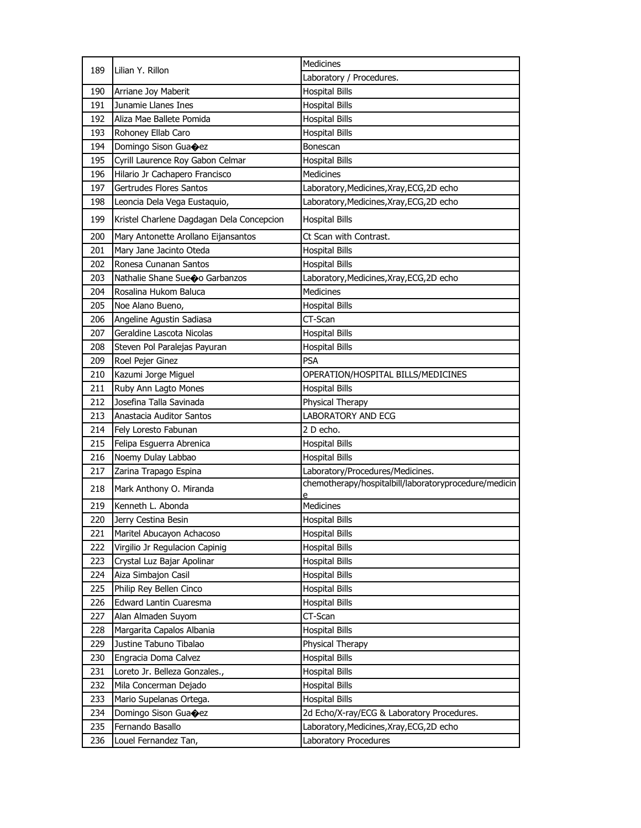| 189 | Lilian Y. Rillon                          | Medicines                                                  |
|-----|-------------------------------------------|------------------------------------------------------------|
|     |                                           | Laboratory / Procedures.                                   |
| 190 | Arriane Joy Maberit                       | <b>Hospital Bills</b>                                      |
| 191 | Junamie Llanes Ines                       | <b>Hospital Bills</b>                                      |
| 192 | Aliza Mae Ballete Pomida                  | <b>Hospital Bills</b>                                      |
| 193 | Rohoney Ellab Caro                        | <b>Hospital Bills</b>                                      |
| 194 | Domingo Sison Gua�ez                      | Bonescan                                                   |
| 195 | Cyrill Laurence Roy Gabon Celmar          | <b>Hospital Bills</b>                                      |
| 196 | Hilario Jr Cachapero Francisco            | <b>Medicines</b>                                           |
| 197 | Gertrudes Flores Santos                   | Laboratory, Medicines, Xray, ECG, 2D echo                  |
| 198 | Leoncia Dela Vega Eustaquio,              | Laboratory, Medicines, Xray, ECG, 2D echo                  |
| 199 | Kristel Charlene Dagdagan Dela Concepcion | <b>Hospital Bills</b>                                      |
| 200 | Mary Antonette Arollano Eijansantos       | Ct Scan with Contrast.                                     |
| 201 | Mary Jane Jacinto Oteda                   | <b>Hospital Bills</b>                                      |
| 202 | Ronesa Cunanan Santos                     | <b>Hospital Bills</b>                                      |
| 203 | Nathalie Shane Sueo Garbanzos             | Laboratory, Medicines, Xray, ECG, 2D echo                  |
| 204 | Rosalina Hukom Baluca                     | <b>Medicines</b>                                           |
| 205 | Noe Alano Bueno,                          | <b>Hospital Bills</b>                                      |
| 206 | Angeline Agustin Sadiasa                  | CT-Scan                                                    |
| 207 | Geraldine Lascota Nicolas                 | <b>Hospital Bills</b>                                      |
| 208 | Steven Pol Paralejas Payuran              | <b>Hospital Bills</b>                                      |
| 209 | Roel Pejer Ginez                          | <b>PSA</b>                                                 |
| 210 | Kazumi Jorge Miguel                       | OPERATION/HOSPITAL BILLS/MEDICINES                         |
| 211 | Ruby Ann Lagto Mones                      | <b>Hospital Bills</b>                                      |
| 212 | Josefina Talla Savinada                   | Physical Therapy                                           |
| 213 | Anastacia Auditor Santos                  | <b>LABORATORY AND ECG</b>                                  |
| 214 | Fely Loresto Fabunan                      | 2 D echo.                                                  |
| 215 | Felipa Esguerra Abrenica                  | <b>Hospital Bills</b>                                      |
| 216 | Noemy Dulay Labbao                        | <b>Hospital Bills</b>                                      |
| 217 | Zarina Trapago Espina                     | Laboratory/Procedures/Medicines.                           |
| 218 | Mark Anthony O. Miranda                   | chemotherapy/hospitalbill/laboratoryprocedure/medicin<br>e |
| 219 | Kenneth L. Abonda                         | Medicines                                                  |
| 220 | Jerry Cestina Besin                       | <b>Hospital Bills</b>                                      |
| 221 | Maritel Abucayon Achacoso                 | <b>Hospital Bills</b>                                      |
| 222 | Virgilio Jr Regulacion Capinig            | <b>Hospital Bills</b>                                      |
| 223 | Crystal Luz Bajar Apolinar                | <b>Hospital Bills</b>                                      |
| 224 | Aiza Simbajon Casil                       | <b>Hospital Bills</b>                                      |
| 225 | Philip Rey Bellen Cinco                   | <b>Hospital Bills</b>                                      |
| 226 | Edward Lantin Cuaresma                    | <b>Hospital Bills</b>                                      |
| 227 | Alan Almaden Suyom                        | CT-Scan                                                    |
| 228 | Margarita Capalos Albania                 | <b>Hospital Bills</b>                                      |
| 229 | Justine Tabuno Tibalao                    | Physical Therapy                                           |
| 230 | Engracia Doma Calvez                      | <b>Hospital Bills</b>                                      |
| 231 | Loreto Jr. Belleza Gonzales.,             | <b>Hospital Bills</b>                                      |
| 232 | Mila Concerman Dejado                     | <b>Hospital Bills</b>                                      |
| 233 | Mario Supelanas Ortega.                   | <b>Hospital Bills</b>                                      |
| 234 | Domingo Sison Guacez                      | 2d Echo/X-ray/ECG & Laboratory Procedures.                 |
| 235 | Fernando Basallo                          | Laboratory, Medicines, Xray, ECG, 2D echo                  |
| 236 | Louel Fernandez Tan,                      | Laboratory Procedures                                      |